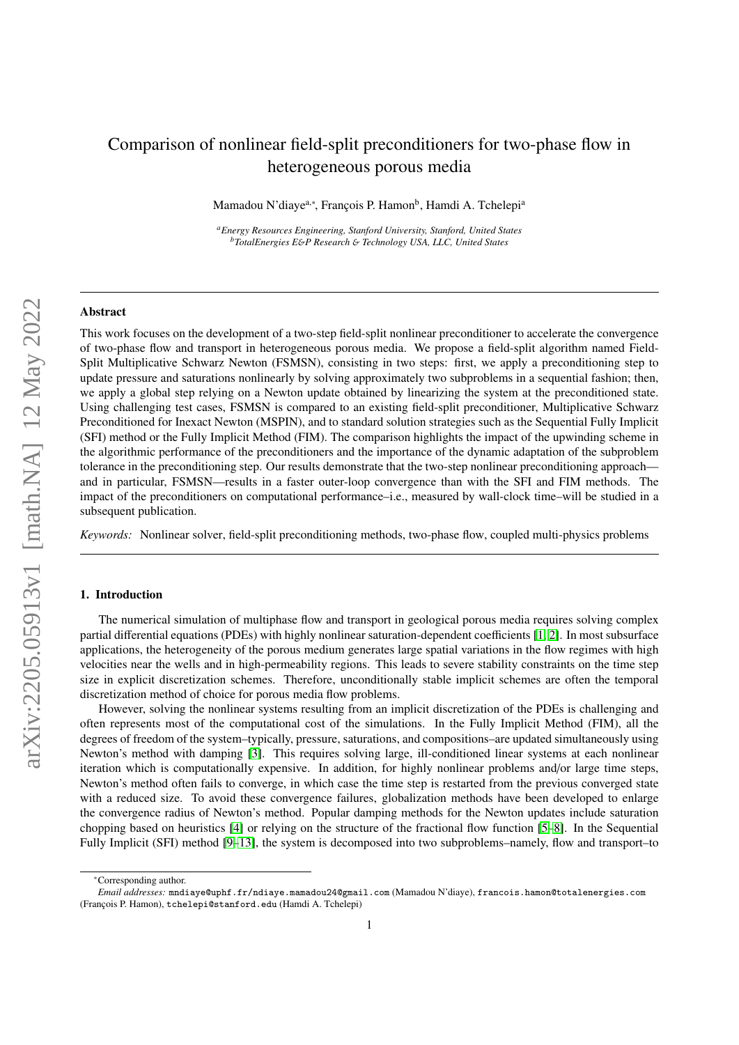# Comparison of nonlinear field-split preconditioners for two-phase flow in heterogeneous porous media

Mamadou N'diaye<sup>a,∗</sup>, François P. Hamon<sup>b</sup>, Hamdi A. Tchelepi<sup>a</sup>

*<sup>a</sup>Energy Resources Engineering, Stanford University, Stanford, United States <sup>b</sup>TotalEnergies E*&*P Research* & *Technology USA, LLC, United States*

#### Abstract

This work focuses on the development of a two-step field-split nonlinear preconditioner to accelerate the convergence of two-phase flow and transport in heterogeneous porous media. We propose a field-split algorithm named Field-Split Multiplicative Schwarz Newton (FSMSN), consisting in two steps: first, we apply a preconditioning step to update pressure and saturations nonlinearly by solving approximately two subproblems in a sequential fashion; then, we apply a global step relying on a Newton update obtained by linearizing the system at the preconditioned state. Using challenging test cases, FSMSN is compared to an existing field-split preconditioner, Multiplicative Schwarz Preconditioned for Inexact Newton (MSPIN), and to standard solution strategies such as the Sequential Fully Implicit (SFI) method or the Fully Implicit Method (FIM). The comparison highlights the impact of the upwinding scheme in the algorithmic performance of the preconditioners and the importance of the dynamic adaptation of the subproblem tolerance in the preconditioning step. Our results demonstrate that the two-step nonlinear preconditioning approach and in particular, FSMSN—results in a faster outer-loop convergence than with the SFI and FIM methods. The impact of the preconditioners on computational performance–i.e., measured by wall-clock time–will be studied in a subsequent publication.

*Keywords:* Nonlinear solver, field-split preconditioning methods, two-phase flow, coupled multi-physics problems

### 1. Introduction

The numerical simulation of multiphase flow and transport in geological porous media requires solving complex partial differential equations (PDEs) with highly nonlinear saturation-dependent coefficients [\[1,](#page-16-0) [2\]](#page-16-1). In most subsurface applications, the heterogeneity of the porous medium generates large spatial variations in the flow regimes with high velocities near the wells and in high-permeability regions. This leads to severe stability constraints on the time step size in explicit discretization schemes. Therefore, unconditionally stable implicit schemes are often the temporal discretization method of choice for porous media flow problems.

However, solving the nonlinear systems resulting from an implicit discretization of the PDEs is challenging and often represents most of the computational cost of the simulations. In the Fully Implicit Method (FIM), all the degrees of freedom of the system–typically, pressure, saturations, and compositions–are updated simultaneously using Newton's method with damping [\[3\]](#page-16-2). This requires solving large, ill-conditioned linear systems at each nonlinear iteration which is computationally expensive. In addition, for highly nonlinear problems and/or large time steps, Newton's method often fails to converge, in which case the time step is restarted from the previous converged state with a reduced size. To avoid these convergence failures, globalization methods have been developed to enlarge the convergence radius of Newton's method. Popular damping methods for the Newton updates include saturation chopping based on heuristics [\[4\]](#page-16-3) or relying on the structure of the fractional flow function [\[5](#page-16-4)[–8\]](#page-16-5). In the Sequential Fully Implicit (SFI) method [\[9–](#page-16-6)[13\]](#page-16-7), the system is decomposed into two subproblems–namely, flow and transport–to

<sup>∗</sup>Corresponding author.

*Email addresses:* mndiaye@uphf.fr/ndiaye.mamadou24@gmail.com (Mamadou N'diaye), francois.hamon@totalenergies.com (François P. Hamon), tchelepi@stanford.edu (Hamdi A. Tchelepi)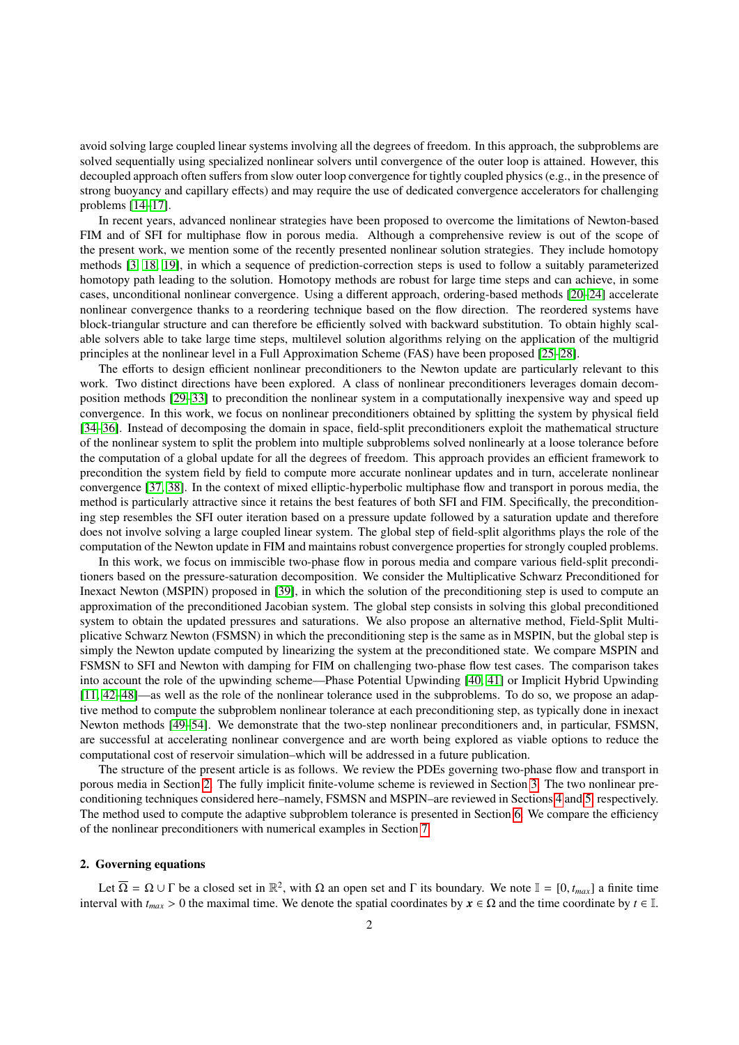avoid solving large coupled linear systems involving all the degrees of freedom. In this approach, the subproblems are solved sequentially using specialized nonlinear solvers until convergence of the outer loop is attained. However, this decoupled approach often suffers from slow outer loop convergence for tightly coupled physics (e.g., in the presence of strong buoyancy and capillary effects) and may require the use of dedicated convergence accelerators for challenging problems [\[14](#page-16-8)[–17\]](#page-16-9).

In recent years, advanced nonlinear strategies have been proposed to overcome the limitations of Newton-based FIM and of SFI for multiphase flow in porous media. Although a comprehensive review is out of the scope of the present work, we mention some of the recently presented nonlinear solution strategies. They include homotopy methods [\[3,](#page-16-2) [18,](#page-16-10) [19\]](#page-16-11), in which a sequence of prediction-correction steps is used to follow a suitably parameterized homotopy path leading to the solution. Homotopy methods are robust for large time steps and can achieve, in some cases, unconditional nonlinear convergence. Using a different approach, ordering-based methods [\[20–](#page-16-12)[24\]](#page-17-0) accelerate nonlinear convergence thanks to a reordering technique based on the flow direction. The reordered systems have block-triangular structure and can therefore be efficiently solved with backward substitution. To obtain highly scalable solvers able to take large time steps, multilevel solution algorithms relying on the application of the multigrid principles at the nonlinear level in a Full Approximation Scheme (FAS) have been proposed [\[25–](#page-17-1)[28\]](#page-17-2).

The efforts to design efficient nonlinear preconditioners to the Newton update are particularly relevant to this work. Two distinct directions have been explored. A class of nonlinear preconditioners leverages domain decomposition methods [\[29–](#page-17-3)[33\]](#page-17-4) to precondition the nonlinear system in a computationally inexpensive way and speed up convergence. In this work, we focus on nonlinear preconditioners obtained by splitting the system by physical field [\[34–](#page-17-5)[36\]](#page-17-6). Instead of decomposing the domain in space, field-split preconditioners exploit the mathematical structure of the nonlinear system to split the problem into multiple subproblems solved nonlinearly at a loose tolerance before the computation of a global update for all the degrees of freedom. This approach provides an efficient framework to precondition the system field by field to compute more accurate nonlinear updates and in turn, accelerate nonlinear convergence [\[37,](#page-17-7) [38\]](#page-17-8). In the context of mixed elliptic-hyperbolic multiphase flow and transport in porous media, the method is particularly attractive since it retains the best features of both SFI and FIM. Specifically, the preconditioning step resembles the SFI outer iteration based on a pressure update followed by a saturation update and therefore does not involve solving a large coupled linear system. The global step of field-split algorithms plays the role of the computation of the Newton update in FIM and maintains robust convergence properties for strongly coupled problems.

In this work, we focus on immiscible two-phase flow in porous media and compare various field-split preconditioners based on the pressure-saturation decomposition. We consider the Multiplicative Schwarz Preconditioned for Inexact Newton (MSPIN) proposed in [\[39\]](#page-17-9), in which the solution of the preconditioning step is used to compute an approximation of the preconditioned Jacobian system. The global step consists in solving this global preconditioned system to obtain the updated pressures and saturations. We also propose an alternative method, Field-Split Multiplicative Schwarz Newton (FSMSN) in which the preconditioning step is the same as in MSPIN, but the global step is simply the Newton update computed by linearizing the system at the preconditioned state. We compare MSPIN and FSMSN to SFI and Newton with damping for FIM on challenging two-phase flow test cases. The comparison takes into account the role of the upwinding scheme—Phase Potential Upwinding [\[40,](#page-17-10) [41\]](#page-17-11) or Implicit Hybrid Upwinding [\[11,](#page-16-13) [42](#page-17-12)[–48\]](#page-17-13)—as well as the role of the nonlinear tolerance used in the subproblems. To do so, we propose an adaptive method to compute the subproblem nonlinear tolerance at each preconditioning step, as typically done in inexact Newton methods [\[49](#page-17-14)[–54\]](#page-17-15). We demonstrate that the two-step nonlinear preconditioners and, in particular, FSMSN, are successful at accelerating nonlinear convergence and are worth being explored as viable options to reduce the computational cost of reservoir simulation–which will be addressed in a future publication.

The structure of the present article is as follows. We review the PDEs governing two-phase flow and transport in porous media in Section [2.](#page-1-0) The fully implicit finite-volume scheme is reviewed in Section [3.](#page-2-0) The two nonlinear preconditioning techniques considered here–namely, FSMSN and MSPIN–are reviewed in Sections [4](#page-3-0) and [5,](#page-4-0) respectively. The method used to compute the adaptive subproblem tolerance is presented in Section [6.](#page-5-0) We compare the efficiency of the nonlinear preconditioners with numerical examples in Section [7.](#page-7-0)

## <span id="page-1-0"></span>2. Governing equations

Let  $\overline{\Omega} = \Omega \cup \Gamma$  be a closed set in  $\mathbb{R}^2$ , with  $\Omega$  an open set and  $\Gamma$  its boundary. We note  $\mathbb{I} = [0, t_{max}]$  a finite time<br>ryal with  $t > 0$  the maximal time. We denote the spatial coordinates by  $\mathbf{r} \in \Omega$  a interval with  $t_{max} > 0$  the maximal time. We denote the spatial coordinates by  $x \in \Omega$  and the time coordinate by  $t \in \mathbb{I}$ .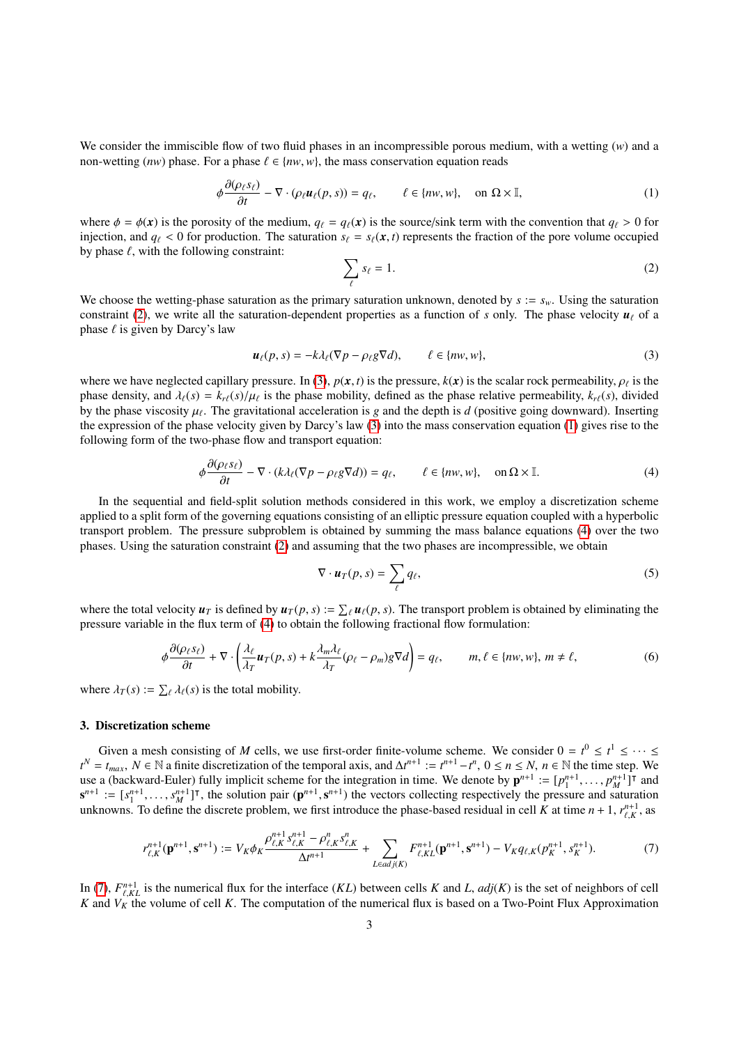We consider the immiscible flow of two fluid phases in an incompressible porous medium, with a wetting (*w*) and a non-wetting (*nw*) phase. For a phase  $\ell \in \{nw, w\}$ , the mass conservation equation reads

$$
\phi \frac{\partial(\rho_{\ell} s_{\ell})}{\partial t} - \nabla \cdot (\rho_{\ell} \boldsymbol{u}_{\ell}(p, s)) = q_{\ell}, \qquad \ell \in \{nw, w\}, \quad \text{on } \Omega \times \mathbb{I}, \tag{1}
$$

where  $\phi = \phi(\mathbf{x})$  is the porosity of the medium,  $q_\ell = q_\ell(\mathbf{x})$  is the source/sink term with the convention that  $q_\ell > 0$  for injection, and  $q_\ell < 0$  for production. The saturation  $s_\ell = s_\ell(\mathbf{x}, t)$  represents the fraction of the pore volume occupied by phase  $\ell$ , with the following constraint:

<span id="page-2-3"></span><span id="page-2-1"></span>
$$
\sum_{\ell} s_{\ell} = 1. \tag{2}
$$

We choose the wetting-phase saturation as the primary saturation unknown, denoted by  $s := s_w$ . Using the saturation constraint [\(2\)](#page-2-1), we write all the saturation-dependent properties as a function of *s* only. The phase velocity  $u_\ell$  of a phase  $\ell$  is given by Darcy's law

<span id="page-2-2"></span>
$$
\boldsymbol{u}_{\ell}(p,s) = -k\lambda_{\ell}(\nabla p - \rho_{\ell}g\nabla d), \qquad \ell \in \{nw, w\},\tag{3}
$$

where we have neglected capillary pressure. In [\(3\)](#page-2-2),  $p(x, t)$  is the pressure,  $k(x)$  is the scalar rock permeability,  $\rho_{\ell}$  is the phase density and  $\lambda_{\ell}(s) = k_{\ell}(s)/\mu_{\ell}$  is the phase mobility defined as the phase rel phase density, and  $\lambda_{\ell}(s) = k_{r\ell}(s)/\mu_{\ell}$  is the phase mobility, defined as the phase relative permeability,  $k_{r\ell}(s)$ , divided by the phase viscosity  $\mu_{\ell}$ . The gravitational acceleration is g and the denth is d ( by the phase viscosity  $\mu_{\ell}$ . The gravitational acceleration is *g* and the depth is *d* (positive going downward). Inserting the expression of the phase velocity given by Darcy's law (3) into the mass conservation equ the expression of the phase velocity given by Darcy's law [\(3\)](#page-2-2) into the mass conservation equation [\(1\)](#page-2-3) gives rise to the following form of the two-phase flow and transport equation:

$$
\phi \frac{\partial (\rho_{\ell} s_{\ell})}{\partial t} - \nabla \cdot (k \lambda_{\ell} (\nabla p - \rho_{\ell} g \nabla d)) = q_{\ell}, \qquad \ell \in \{nw, w\}, \quad \text{on } \Omega \times \mathbb{I}.
$$
 (4)

In the sequential and field-split solution methods considered in this work, we employ a discretization scheme applied to a split form of the governing equations consisting of an elliptic pressure equation coupled with a hyperbolic transport problem. The pressure subproblem is obtained by summing the mass balance equations [\(4\)](#page-2-4) over the two phases. Using the saturation constraint [\(2\)](#page-2-1) and assuming that the two phases are incompressible, we obtain

<span id="page-2-7"></span><span id="page-2-6"></span><span id="page-2-5"></span><span id="page-2-4"></span>
$$
\nabla \cdot \boldsymbol{u}_T(p,s) = \sum_{\ell} q_{\ell}, \tag{5}
$$

where the total velocity  $u_T$  is defined by  $u_T(p, s) := \sum_{\ell} u_{\ell}(p, s)$ . The transport problem is obtained by eliminating the pressure variable in the flux term of (4) to obtain the following fractional flow formulation: pressure variable in the flux term of [\(4\)](#page-2-4) to obtain the following fractional flow formulation:

$$
\phi \frac{\partial (\rho_{\ell} s_{\ell})}{\partial t} + \nabla \cdot \left( \frac{\lambda_{\ell}}{\lambda_{T}} \boldsymbol{u}_{T}(p, s) + k \frac{\lambda_{m} \lambda_{\ell}}{\lambda_{T}} (\rho_{\ell} - \rho_{m}) g \nabla d \right) = q_{\ell}, \qquad m, \ell \in \{nw, w\}, m \neq \ell,
$$
\n(6)

where  $\lambda_T(s) := \sum_{\ell} \lambda_{\ell}(s)$  is the total mobility.

## <span id="page-2-0"></span>3. Discretization scheme

Given a mesh consisting of *M* cells, we use first-order finite-volume scheme. We consider  $0 = t^0 \le t^1 \le \cdots \le$ *t*<sup>*N*</sup> = *t*<sub>*max*</sub>, *N* ∈ N a finite discretization of the temporal axis, and ∆*t*<sup>*n*+1</sup> := *t*<sup>*n*+1</sup> − *t*<sup>*n*</sup>, 0 ≤ *n* ≤ *N*, *n* ∈ N the time step. We use a (backward-Euler) fully implicit scheme for the integration in time. We denote by  $\mathbf{p}^{n+1} := [p_1^{n+1}, \dots, p_M^{n+1}]^T$  and  $\mathbf{p}^{n+1} := [p_1^{n+1}, \dots, p_M^{n+1}]^T$  and  $\mathbf{p}^{n+1}$  in the solution pair  $(\mathbf{p}^{n+1} | \mathbf{p}$  $s^{n+1} := [s_1^{n+1}, \ldots, s_n^{n+1}]^T$ , the solution pair  $(p^{n+1}, s^{n+1})$  the vectors collecting respectively the pressure and saturation unknowns. To define the discrete problem, we first introduce the phase-based residual in ce unknowns. To define the discrete problem, we first introduce the phase-based residual in cell *K* at time  $n + 1$ ,  $r_{\ell,K}^{n+1}$ , as

$$
r_{\ell,K}^{n+1}(\mathbf{p}^{n+1},\mathbf{s}^{n+1}) := V_K \phi_K \frac{\rho_{\ell,K}^{n+1} s_{\ell,K}^{n+1} - \rho_{\ell,K}^n s_{\ell,K}^n}{\Delta t^{n+1}} + \sum_{L \in adj(K)} F_{\ell,KL}^{n+1}(\mathbf{p}^{n+1},\mathbf{s}^{n+1}) - V_K q_{\ell,K} (p_K^{n+1},s_K^{n+1}).
$$
 (7)

In [\(7\)](#page-2-5),  $F_{\ell,KL}^{n+1}$  is the numerical flux for the interface (*KL*) between cells *K* and *L*, *adj*(*K*) is the set of neighbors of cell *K* and *V<sub>K</sub>* and *V<sub>K</sub>* the volume of cell *K*. The computation of the numerica *K* and  $V_K$  the volume of cell *K*. The computation of the numerical flux is based on a Two-Point Flux Approximation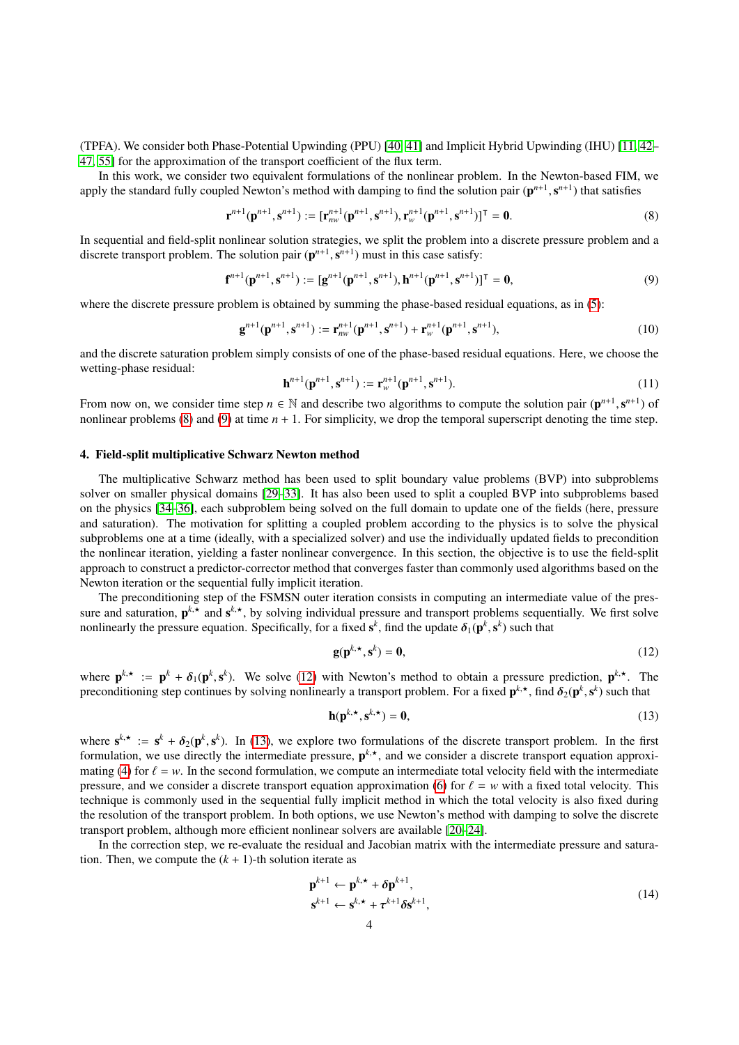(TPFA). We consider both Phase-Potential Upwinding (PPU) [\[40,](#page-17-10) [41\]](#page-17-11) and Implicit Hybrid Upwinding (IHU) [\[11,](#page-16-13) [42–](#page-17-12) [47,](#page-17-16) [55\]](#page-17-17) for the approximation of the transport coefficient of the flux term.

In this work, we consider two equivalent formulations of the nonlinear problem. In the Newton-based FIM, we apply the standard fully coupled Newton's method with damping to find the solution pair  $(\mathbf{p}^{n+1}, \mathbf{s}^{n+1})$  that satisfies

$$
\mathbf{r}^{n+1}(\mathbf{p}^{n+1}, \mathbf{s}^{n+1}) := [\mathbf{r}_{nw}^{n+1}(\mathbf{p}^{n+1}, \mathbf{s}^{n+1}), \mathbf{r}_{w}^{n+1}(\mathbf{p}^{n+1}, \mathbf{s}^{n+1})]^\mathsf{T} = \mathbf{0}.
$$
 (8)

In sequential and field-split nonlinear solution strategies, we split the problem into a discrete pressure problem and a discrete transport problem. The solution pair  $(p^{n+1}, s^{n+1})$  must in this case satisfy:

$$
\mathbf{f}^{n+1}(\mathbf{p}^{n+1}, \mathbf{s}^{n+1}) := [\mathbf{g}^{n+1}(\mathbf{p}^{n+1}, \mathbf{s}^{n+1}), \mathbf{h}^{n+1}(\mathbf{p}^{n+1}, \mathbf{s}^{n+1})]^\mathsf{T} = \mathbf{0},\tag{9}
$$

where the discrete pressure problem is obtained by summing the phase-based residual equations, as in [\(5\)](#page-2-6):

$$
\mathbf{g}^{n+1}(\mathbf{p}^{n+1}, \mathbf{s}^{n+1}) := \mathbf{r}_{nw}^{n+1}(\mathbf{p}^{n+1}, \mathbf{s}^{n+1}) + \mathbf{r}_{w}^{n+1}(\mathbf{p}^{n+1}, \mathbf{s}^{n+1}),
$$
\n(10)

and the discrete saturation problem simply consists of one of the phase-based residual equations. Here, we choose the wetting-phase residual:

<span id="page-3-2"></span><span id="page-3-1"></span>
$$
\mathbf{h}^{n+1}(\mathbf{p}^{n+1}, \mathbf{s}^{n+1}) := \mathbf{r}_{w}^{n+1}(\mathbf{p}^{n+1}, \mathbf{s}^{n+1}).
$$
\n(11)

From now on, we consider time step  $n \in \mathbb{N}$  and describe two algorithms to compute the solution pair  $(\mathbf{p}^{n+1}, \mathbf{s}^{n+1})$  of nonlinear problems (8) and (9) at time  $n+1$ . For simplicity, we drop the temporal supersc nonlinear problems  $(8)$  and  $(9)$  at time  $n + 1$ . For simplicity, we drop the temporal superscript denoting the time step.

#### <span id="page-3-0"></span>4. Field-split multiplicative Schwarz Newton method

The multiplicative Schwarz method has been used to split boundary value problems (BVP) into subproblems solver on smaller physical domains [\[29](#page-17-3)[–33\]](#page-17-4). It has also been used to split a coupled BVP into subproblems based on the physics [\[34](#page-17-5)[–36\]](#page-17-6), each subproblem being solved on the full domain to update one of the fields (here, pressure and saturation). The motivation for splitting a coupled problem according to the physics is to solve the physical subproblems one at a time (ideally, with a specialized solver) and use the individually updated fields to precondition the nonlinear iteration, yielding a faster nonlinear convergence. In this section, the objective is to use the field-split approach to construct a predictor-corrector method that converges faster than commonly used algorithms based on the Newton iteration or the sequential fully implicit iteration.

The preconditioning step of the FSMSN outer iteration consists in computing an intermediate value of the pressure and saturation,  $p^{k,*}$  and  $s^{k,*}$ , by solving individual pressure and transport problems sequentially. We first solve nonlinearly the pressure equation. Specifically, for a fixed  $s^k$ , find the update  $\delta_1(\mathbf{p}^k, \mathbf{s}^k)$  such that

<span id="page-3-4"></span><span id="page-3-3"></span>
$$
g(p^{k, \star}, s^k) = 0,\tag{12}
$$

where  $p^{k,*} := p^k + \delta_1(p^k, s^k)$ . We solve [\(12\)](#page-3-3) with Newton's method to obtain a pressure prediction,  $p^{k,*}$ . The preconditioning step continues by solving nonlinearly a transport problem. For a fixed  $\mathbf{p}^{k, \star}$ , find  $\delta_2(\mathbf{p}^k, \mathbf{s}^k)$  such that

$$
\mathbf{h}(\mathbf{p}^{k,\star}, \mathbf{s}^{k,\star}) = \mathbf{0},\tag{13}
$$

where  $s^{k,*} := s^k + \delta_2(p^k, s^k)$ . In [\(13\)](#page-3-4), we explore two formulations of the discrete transport problem. In the first<br>formulation, we use directly the intermediate pressure  $p^{k,*}$  and we consider a discrete transport equa formulation, we use directly the intermediate pressure,  $p^{k,*}$ , and we consider a discrete transport equation approxi-mating [\(4\)](#page-2-4) for  $\ell = w$ . In the second formulation, we compute an intermediate total velocity field with the intermediate pressure, and we consider a discrete transport equation approximation [\(6\)](#page-2-7) for  $\ell = w$  with a fixed total velocity. This technique is commonly used in the sequential fully implicit method in which the total velocity is also fixed during the resolution of the transport problem. In both options, we use Newton's method with damping to solve the discrete transport problem, although more efficient nonlinear solvers are available [\[20](#page-16-12)[–24\]](#page-17-0).

In the correction step, we re-evaluate the residual and Jacobian matrix with the intermediate pressure and saturation. Then, we compute the  $(k + 1)$ -th solution iterate as

<span id="page-3-5"></span>
$$
\mathbf{p}^{k+1} \leftarrow \mathbf{p}^{k,\star} + \delta \mathbf{p}^{k+1},
$$
  
\n
$$
\mathbf{s}^{k+1} \leftarrow \mathbf{s}^{k,\star} + \tau^{k+1} \delta \mathbf{s}^{k+1},
$$
\n(14)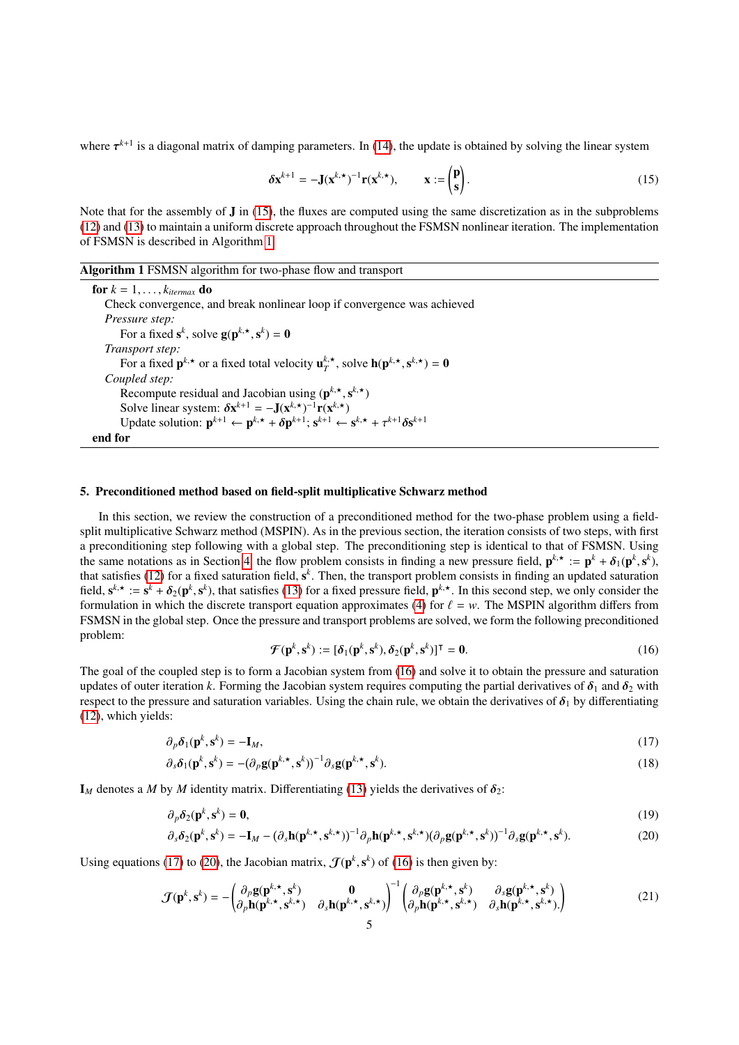where  $\tau^{k+1}$  is a diagonal matrix of damping parameters. In [\(14\)](#page-3-5), the update is obtained by solving the linear system

<span id="page-4-1"></span>
$$
\delta \mathbf{x}^{k+1} = -\mathbf{J}(\mathbf{x}^{k,\star})^{-1} \mathbf{r}(\mathbf{x}^{k,\star}), \qquad \mathbf{x} := \begin{pmatrix} \mathbf{p} \\ \mathbf{s} \end{pmatrix}.
$$
 (15)

Note that for the assembly of  $J$  in [\(15\)](#page-4-1), the fluxes are computed using the same discretization as in the subproblems [\(12\)](#page-3-3) and [\(13\)](#page-3-4) to maintain a uniform discrete approach throughout the FSMSN nonlinear iteration. The implementation of FSMSN is described in Algorithm [1.](#page-4-2)

<span id="page-4-2"></span>

| <b>Algorithm 1 FSMSN</b> algorithm for two-phase flow and transport |  |  |  |  |
|---------------------------------------------------------------------|--|--|--|--|
|                                                                     |  |  |  |  |

for  $k = 1, \ldots, k_{\text{itermax}}$  do Check convergence, and break nonlinear loop if convergence was achieved *Pressure step:* For a fixed  $s^k$ , solve  $g(p^{k, \star}, s^k) = 0$ *Transport step:* For a fixed  $\mathbf{p}^{k, \star}$  or a fixed total velocity  $\mathbf{u}^{k, \star}_{T}$ , solve  $\mathbf{h}(\mathbf{p}^{k, \star}, \mathbf{s}^{k, \star}) = \mathbf{0}$ <br>unled sten: *Coupled step:* Recompute residual and Jacobian using  $(p^{k, \star}, s^{k, \star})$ <br>Solve linear system:  $\delta x^{k+1} = -I(x^{k, \star})^{-1}r(x^{k, \star})$ Solve linear system:  $\delta \mathbf{x}^{k+1} = -\mathbf{J}(\mathbf{x}^{k,\star})^{-1} \mathbf{r}(\mathbf{x}^{k,\star})$ <br>Update solution:  $\mathbf{p}^{k+1} \leftarrow \mathbf{p}^{k,\star} + \delta \mathbf{p}^{k+1}$ ;  $\mathbf{s}^{k+1} \leftarrow \mathbf{s}^{k,\star} + \tau^{k+1} \delta \mathbf{s}^{k+1}$  $k+1 = -\mathbf{J}(\mathbf{x}^{k, \star})^{-1}\mathbf{r}(\mathbf{x}^{k, \star})$ end for

#### <span id="page-4-0"></span>5. Preconditioned method based on field-split multiplicative Schwarz method

In this section, we review the construction of a preconditioned method for the two-phase problem using a fieldsplit multiplicative Schwarz method (MSPIN). As in the previous section, the iteration consists of two steps, with first a preconditioning step following with a global step. The preconditioning step is identical to that of FSMSN. Using the same notations as in Section [4,](#page-3-0) the flow problem consists in finding a new pressure field,  $\mathbf{p}^{k,*} := \mathbf{p}^k + \delta_1(\mathbf{p}^k, \mathbf{s}^k)$ ,<br>that satisfies (12) for a fixed saturation field,  $\mathbf{s}^k$ . Then, the transport that satisfies [\(12\)](#page-3-3) for a fixed saturation field, s *k* . Then, the transport problem consists in finding an updated saturation field,  $\mathbf{s}^{k,*} := \mathbf{s}^k + \delta_2(\mathbf{p}^k, \mathbf{s}^k)$ , that satisfies [\(13\)](#page-3-4) for a fixed pressure field,  $\mathbf{p}^{k,*}$ . In this second step, we only consider the formulation in which the discrete transport equation approximates ( formulation in which the discrete transport equation approximates [\(4\)](#page-2-4) for  $\ell = w$ . The MSPIN algorithm differs from FSMSN in the global step. Once the pressure and transport problems are solved, we form the following preconditioned problem:

<span id="page-4-6"></span><span id="page-4-5"></span><span id="page-4-4"></span>
$$
\mathcal{F}(\mathbf{p}^k, \mathbf{s}^k) := [\delta_1(\mathbf{p}^k, \mathbf{s}^k), \delta_2(\mathbf{p}^k, \mathbf{s}^k)]^\mathsf{T} = \mathbf{0}.
$$
 (16)

<span id="page-4-3"></span>The goal of the coupled step is to form a Jacobian system from [\(16\)](#page-4-3) and solve it to obtain the pressure and saturation updates of outer iteration k. Forming the Jacobian system requires computing the partial derivatives of  $\delta_1$  and  $\delta_2$  with respect to the pressure and saturation variables. Using the chain rule, we obtain the derivatives of  $\delta_1$  by differentiating [\(12\)](#page-3-3), which yields:

$$
\partial_p \delta_1(\mathbf{p}^k, \mathbf{s}^k) = -\mathbf{I}_M,\tag{17}
$$
\n
$$
\partial_p \delta_1(\mathbf{p}^k, \mathbf{s}^k) = -(\partial_p \mathbf{q}(\mathbf{p}^k, \mathbf{x}, \mathbf{s}^k))^{-1} \partial_p \mathbf{q}(\mathbf{p}^k, \mathbf{x}, \mathbf{s}^k)
$$
\n
$$
(18)
$$

$$
\partial_s \delta_1(\mathbf{p}^k, \mathbf{s}^k) = -(\partial_p \mathbf{g}(\mathbf{p}^{k, \star}, \mathbf{s}^k))^{-1} \partial_s \mathbf{g}(\mathbf{p}^{k, \star}, \mathbf{s}^k). \tag{18}
$$

 $I_M$  denotes a *M* by *M* identity matrix. Differentiating [\(13\)](#page-3-4) yields the derivatives of  $\delta_2$ :

$$
\partial_p \delta_2(\mathbf{p}^k, \mathbf{s}^k) = \mathbf{0},\tag{19}
$$

$$
\partial_s \delta_2(\mathbf{p}^k, \mathbf{s}^k) = -\mathbf{I}_M - (\partial_s \mathbf{h}(\mathbf{p}^{k, \star}, \mathbf{s}^{k, \star}))^{-1} \partial_p \mathbf{h}(\mathbf{p}^{k, \star}, \mathbf{s}^{k, \star}) (\partial_p \mathbf{g}(\mathbf{p}^{k, \star}, \mathbf{s}^k))^{-1} \partial_s \mathbf{g}(\mathbf{p}^{k, \star}, \mathbf{s}^k). \tag{20}
$$

Using equations [\(17\)](#page-4-4) to [\(20\)](#page-4-5), the Jacobian matrix,  $\mathcal{J}(\mathbf{p}^k, \mathbf{s}^k)$  of [\(16\)](#page-4-3) is then given by:

$$
\mathcal{J}(\mathbf{p}^{k}, \mathbf{s}^{k}) = -\begin{pmatrix} \partial_{p} \mathbf{g}(\mathbf{p}^{k, \star}, \mathbf{s}^{k}) & \mathbf{0} \\ \partial_{p} \mathbf{h}(\mathbf{p}^{k, \star}, \mathbf{s}^{k, \star}) & \partial_{s} \mathbf{h}(\mathbf{p}^{k, \star}, \mathbf{s}^{k, \star}) \end{pmatrix}^{-1} \begin{pmatrix} \partial_{p} \mathbf{g}(\mathbf{p}^{k, \star}, \mathbf{s}^{k}) & \partial_{s} \mathbf{g}(\mathbf{p}^{k, \star}, \mathbf{s}^{k}) \\ \partial_{p} \mathbf{h}(\mathbf{p}^{k, \star}, \mathbf{s}^{k, \star}) & \partial_{s} \mathbf{h}(\mathbf{p}^{k, \star}, \mathbf{s}^{k, \star}) \end{pmatrix}
$$
(21)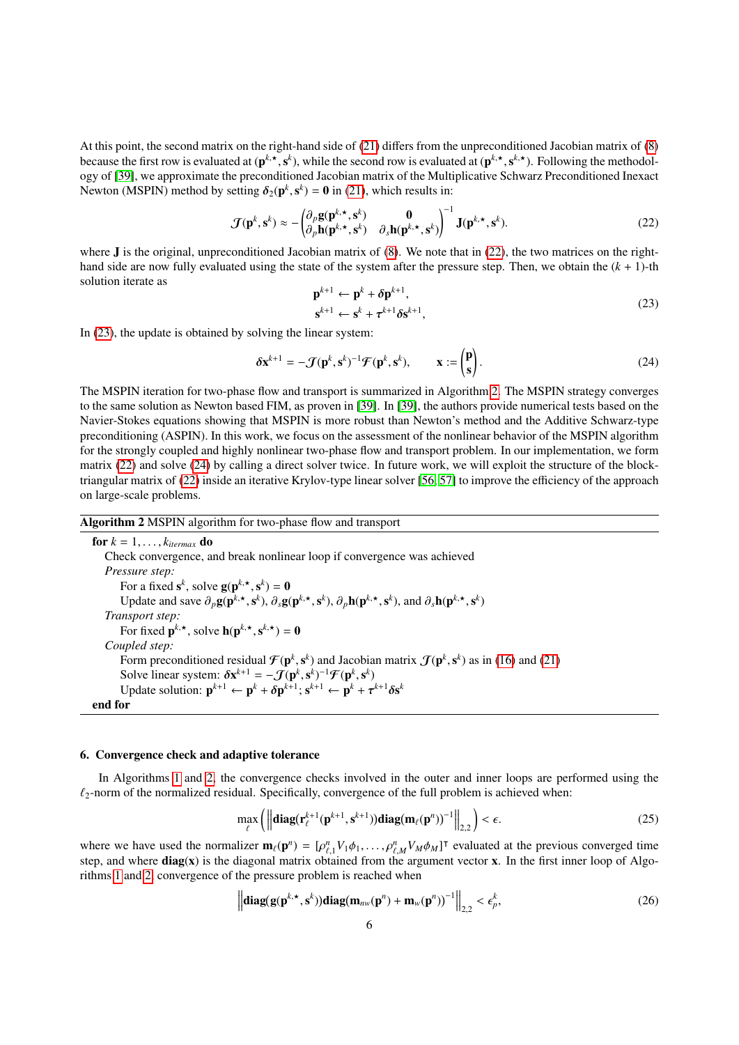At this point, the second matrix on the right-hand side of [\(21\)](#page-4-6) differs from the unpreconditioned Jacobian matrix of [\(8\)](#page-3-1) because the first row is evaluated at  $(p^{k, \star}, s^k)$ , while the second row is evaluated at  $(p^{k, \star}, s^{k, \star})$ . Following the methodol-<br>ony of [30], we approximate the preconditioned Jacobian matrix of the Multiplicative Schw ogy of [\[39\]](#page-17-9), we approximate the preconditioned Jacobian matrix of the Multiplicative Schwarz Preconditioned Inexact Newton (MSPIN) method by setting  $\delta_2(\mathbf{p}^k, \mathbf{s}^k) = \mathbf{0}$  in [\(21\)](#page-4-6), which results in:

<span id="page-5-2"></span>
$$
\mathcal{J}(\mathbf{p}^k, \mathbf{s}^k) \approx -\begin{pmatrix} \partial_p \mathbf{g}(\mathbf{p}^{k, \star}, \mathbf{s}^k) & \mathbf{0} \\ \partial_p \mathbf{h}(\mathbf{p}^{k, \star}, \mathbf{s}^k) & \partial_s \mathbf{h}(\mathbf{p}^{k, \star}, \mathbf{s}^k) \end{pmatrix}^{-1} \mathbf{J}(\mathbf{p}^{k, \star}, \mathbf{s}^k).
$$
 (22)

where **J** is the original, unpreconditioned Jacobian matrix of [\(8\)](#page-3-1). We note that in [\(22\)](#page-5-1), the two matrices on the righthand side are now fully evaluated using the state of the system after the pressure step. Then, we obtain the (*k* + 1)-th solution iterate as

<span id="page-5-4"></span><span id="page-5-1"></span>
$$
\mathbf{p}^{k+1} \leftarrow \mathbf{p}^k + \delta \mathbf{p}^{k+1},
$$
  
\n
$$
\mathbf{s}^{k+1} \leftarrow \mathbf{s}^k + \tau^{k+1} \delta \mathbf{s}^{k+1},
$$
\n(23)

In [\(23\)](#page-5-2), the update is obtained by solving the linear system:

$$
\delta \mathbf{x}^{k+1} = -\mathcal{J}(\mathbf{p}^k, \mathbf{s}^k)^{-1} \mathcal{F}(\mathbf{p}^k, \mathbf{s}^k), \qquad \mathbf{x} := \begin{pmatrix} \mathbf{p} \\ \mathbf{s} \end{pmatrix}.
$$
 (24)

The MSPIN iteration for two-phase flow and transport is summarized in Algorithm [2.](#page-5-3) The MSPIN strategy converges to the same solution as Newton based FIM, as proven in [\[39\]](#page-17-9). In [\[39\]](#page-17-9), the authors provide numerical tests based on the Navier-Stokes equations showing that MSPIN is more robust than Newton's method and the Additive Schwarz-type preconditioning (ASPIN). In this work, we focus on the assessment of the nonlinear behavior of the MSPIN algorithm for the strongly coupled and highly nonlinear two-phase flow and transport problem. In our implementation, we form matrix [\(22\)](#page-5-1) and solve [\(24\)](#page-5-4) by calling a direct solver twice. In future work, we will exploit the structure of the blocktriangular matrix of [\(22\)](#page-5-1) inside an iterative Krylov-type linear solver [\[56,](#page-17-18) [57\]](#page-17-19) to improve the efficiency of the approach on large-scale problems.

<span id="page-5-3"></span>Algorithm 2 MSPIN algorithm for two-phase flow and transport

for  $k = 1, \ldots, k_{\text{itermax}}$  do Check convergence, and break nonlinear loop if convergence was achieved *Pressure step:* For a fixed  $\mathbf{s}^k$ , solve  $\mathbf{g}(\mathbf{p}^{k, \star}, \mathbf{s}^k) = \mathbf{0}$  $S_{\mathbf{c}^k}$ Update and save  $\partial_p \mathbf{g}(\mathbf{p}^{k, \star}, \mathbf{s}^k)$ ,  $\partial_s \mathbf{g}(\mathbf{p}^{k, \star}, \mathbf{s}^k)$ ,  $\partial_p \mathbf{h}(\mathbf{p}^{k, \star}, \mathbf{s}^k)$ , and  $\partial_s \mathbf{h}(\mathbf{p}^{k, \star}, \mathbf{s}^k)$ *Transport step:* For fixed  $\mathbf{p}^{k, \star}$ , solve  $\mathbf{h}(\mathbf{p}^{k, \star}, \mathbf{s}^{k, \star}) = \mathbf{0}$ *Coupled step:* Form preconditioned residual  $\mathcal{F}(\mathbf{p}^k, \mathbf{s}^k)$  and Jacobian matrix  $\mathcal{J}(\mathbf{p}^k, \mathbf{s}^k)$  as in [\(16\)](#page-4-3) and [\(21\)](#page-4-6)<br>Solve linear system:  $\delta \mathbf{x}^{k+1} = -\mathcal{J}(\mathbf{n}^k, \mathbf{s}^k)^{-1} \mathcal{F}(\mathbf{n}^k, \mathbf{s}^k)$  $\boldsymbol{s}_k$ Solve linear system:  $\delta \mathbf{x}^{k+1} = -\mathcal{J}(\mathbf{p}^k, \mathbf{s}^k)^{-1} \mathcal{F}(\mathbf{p}^k, \mathbf{s}^k)$ <br>Undate solution:  $\mathbf{p}^{k+1} \leftarrow \mathbf{p}^k + \delta \mathbf{p}^{k+1} \cdot \mathbf{s}^{k+1} \leftarrow \mathbf{p}^k + \tau$ Update solution:  $\mathbf{p}^{k+1} \leftarrow \mathbf{p}^k + \delta \mathbf{p}^{k+1}; \mathbf{s}^{k+1} \leftarrow \mathbf{p}^k + \tau^{k+1} \delta \mathbf{s}^k$ end for

#### <span id="page-5-0"></span>6. Convergence check and adaptive tolerance

In Algorithms [1](#page-4-2) and [2,](#page-5-3) the convergence checks involved in the outer and inner loops are performed using the  $\ell_2$ -norm of the normalized residual. Specifically, convergence of the full problem is achieved when:

$$
\max_{\ell} \left( \left\| \mathbf{diag}(\mathbf{r}_{\ell}^{k+1}(\mathbf{p}^{k+1}, \mathbf{s}^{k+1})) \mathbf{diag}(\mathbf{m}_{\ell}(\mathbf{p}^n))^{-1} \right\|_{2,2} \right) < \epsilon.
$$
 (25)

where we have used the normalizer  $\mathbf{m}_{\ell}(\mathbf{p}^n) = [\rho_{\ell,1}^n V_1 \phi_1, \ldots, \rho_{\ell,M}^n V_M \phi_M]^{\mathsf{T}}$  evaluated at the previous converged time<br>step, and where **diag(x)** is the diagonal matrix obtained from the argument vector step, and where diag(x) is the diagonal matrix obtained from the argument vector x. In the first inner loop of Algo-<br>step, and where diag(x) is the diagonal matrix obtained from the argument vector x. In the first inner l rithms [1](#page-4-2) and [2,](#page-5-3) convergence of the pressure problem is reached when

<span id="page-5-5"></span>
$$
\left\| \mathbf{diag}(\mathbf{g}(\mathbf{p}^{k,\star},\mathbf{s}^k)) \mathbf{diag}(\mathbf{m}_{n\mathbf{w}}(\mathbf{p}^n) + \mathbf{m}_{\mathbf{w}}(\mathbf{p}^n))^{-1} \right\|_{2,2} < \epsilon_p^k,
$$
\n(26)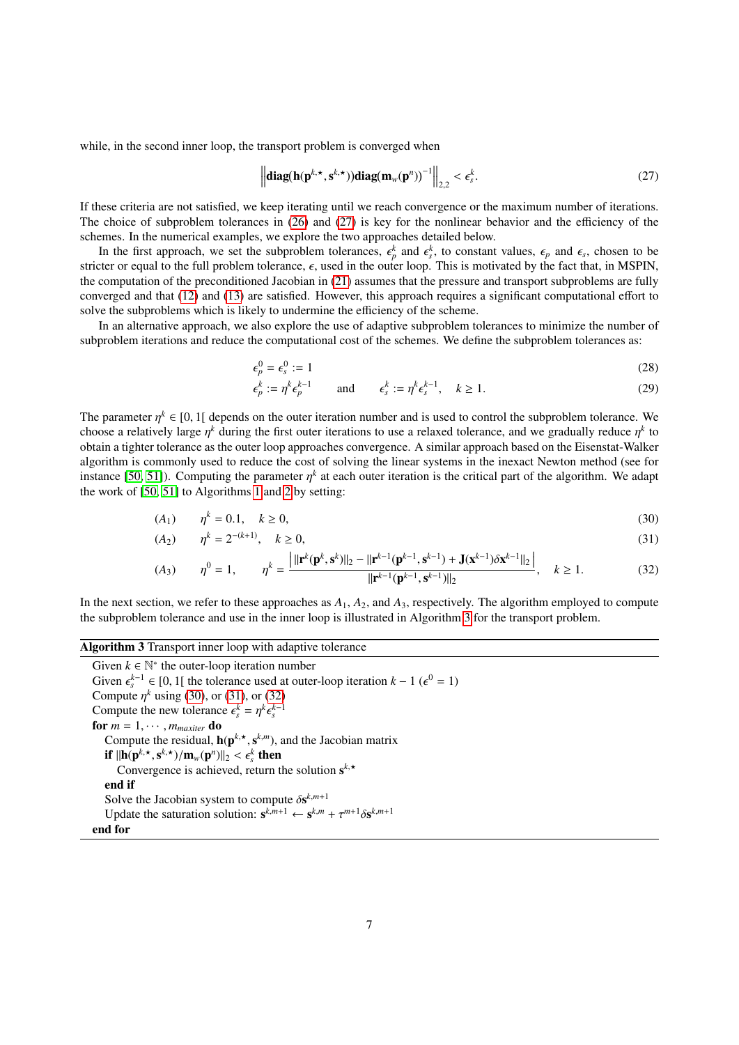while, in the second inner loop, the transport problem is converged when

<span id="page-6-0"></span>
$$
\left\| \mathbf{diag}(\mathbf{h}(\mathbf{p}^{k,\star},\mathbf{s}^{k,\star})) \mathbf{diag}(\mathbf{m}_w(\mathbf{p}^n))^{-1} \right\|_{2,2} < \epsilon_s^k.
$$
 (27)

If these criteria are not satisfied, we keep iterating until we reach convergence or the maximum number of iterations. The choice of subproblem tolerances in [\(26\)](#page-5-5) and [\(27\)](#page-6-0) is key for the nonlinear behavior and the efficiency of the schemes. In the numerical examples, we explore the two approaches detailed below.

In the first approach, we set the subproblem tolerances,  $\epsilon_p^k$  and  $\epsilon_s^k$ , to constant values,  $\epsilon_p$  and  $\epsilon_s$ , chosen to be<br>ter or equal to the full problem tolerance,  $\epsilon$  used in the outer loop. This is motivated by stricter or equal to the full problem tolerance,  $\epsilon$ , used in the outer loop. This is motivated by the fact that, in MSPIN, the computation of the preconditioned Jacobian in [\(21\)](#page-4-6) assumes that the pressure and transport subproblems are fully converged and that [\(12\)](#page-3-3) and [\(13\)](#page-3-4) are satisfied. However, this approach requires a significant computational effort to solve the subproblems which is likely to undermine the efficiency of the scheme.

In an alternative approach, we also explore the use of adaptive subproblem tolerances to minimize the number of subproblem iterations and reduce the computational cost of the schemes. We define the subproblem tolerances as:

$$
\epsilon_p^0 = \epsilon_s^0 := 1\tag{28}
$$

<span id="page-6-4"></span><span id="page-6-3"></span><span id="page-6-2"></span>
$$
\epsilon_p^k := \eta^k \epsilon_p^{k-1} \qquad \text{and} \qquad \epsilon_s^k := \eta^k \epsilon_s^{k-1}, \quad k \ge 1. \tag{29}
$$

The parameter  $\eta^k \in [0,1]$  depends on the outer iteration number and is used to control the subproblem tolerance. We<br>choose a relatively large  $\eta^k$  during the first outer iterations to use a relaxed tolerance, and we g choose a relatively large  $\eta^k$  during the first outer iterations to use a relaxed tolerance, and we gradually reduce  $\eta^k$  to obtain a tighter tolerance as the outer loop approaches convergence. A similar approach base obtain a tighter tolerance as the outer loop approaches convergence. A similar approach based on the Eisenstat-Walker algorithm is commonly used to reduce the cost of solving the linear systems in the inexact Newton method (see for instance [\[50,](#page-17-20) [51\]](#page-17-21)). Computing the parameter  $\eta^k$  at each outer iteration is the critical part of the algorithm. We adapt the work of [\[50,](#page-17-20) [51\]](#page-17-21) to Algorithms [1](#page-4-2) and [2](#page-5-3) by setting:

$$
(A_1) \qquad \eta^k = 0.1, \quad k \ge 0,\tag{30}
$$

$$
(A_2) \qquad \eta^k = 2^{-(k+1)}, \quad k \ge 0,
$$
\n<sup>(31)</sup>

$$
(A_3) \qquad \eta^0 = 1, \qquad \eta^k = \frac{\left| ||\mathbf{r}^k(\mathbf{p}^k, \mathbf{s}^k)||_2 - ||\mathbf{r}^{k-1}(\mathbf{p}^{k-1}, \mathbf{s}^{k-1}) + \mathbf{J}(\mathbf{x}^{k-1})\delta \mathbf{x}^{k-1}||_2 \right|}{||\mathbf{r}^{k-1}(\mathbf{p}^{k-1}, \mathbf{s}^{k-1})||_2}, \quad k \ge 1. \tag{32}
$$

In the next section, we refer to these approaches as *A*1, *A*2, and *A*3, respectively. The algorithm employed to compute the subproblem tolerance and use in the inner loop is illustrated in Algorithm [3](#page-6-1) for the transport problem.

#### <span id="page-6-1"></span>Algorithm 3 Transport inner loop with adaptive tolerance

Given  $k \in \mathbb{N}^*$  the outer-loop iteration number Given  $\epsilon_s^{k-1} \in [0, 1]$  the tolerance used at outer-loop iteration  $k - 1$  ( $\epsilon^0 = 1$ )<br>Compute  $r^k$  using (30), or (31), or (32) Compute  $\eta^k$  using [\(30\)](#page-6-2), or [\(31\)](#page-6-3), or [\(32\)](#page-6-4)<br>Compute the new tolerance  $\epsilon^k - \eta^k \epsilon^{k-1}$ Compute the new tolerance  $\epsilon_s^k = \eta^k$ <br>**for**  $m = 1, ..., m$  **do** *k*−1 *s* for  $m = 1, \cdots, m_{maxiter}$  do Compute the residual,  $h(p^{k, \star}, s^{k, m})$ , and the Jacobian matrix<br>if  $||h(n^{k, \star}, s^{k, \star})|$  (m  $(n^n)||_2 \leq s^k$  then if  $\|\mathbf{h}(\mathbf{p}^{k,\star}, \mathbf{s}^{k,\star})/\mathbf{m}_w(\mathbf{p}^n)\|_2 < \epsilon_s^k$  then<br>Convergence is achieved return to Convergence is achieved, return the solution  $s^{k, \star}$ end if Solve the Jacobian system to compute  $\delta s^{k,m+1}$ <br>
I Indate the saturation solution:  $s^{k,m+1}$   $\leftarrow s^{k,m}$ Update the saturation solution:  $\mathbf{s}^{k,m+1} \leftarrow \mathbf{s}^{k,m} + \tau^{m+1} \delta \mathbf{s}^{k,m+1}$ <br>**d** for end for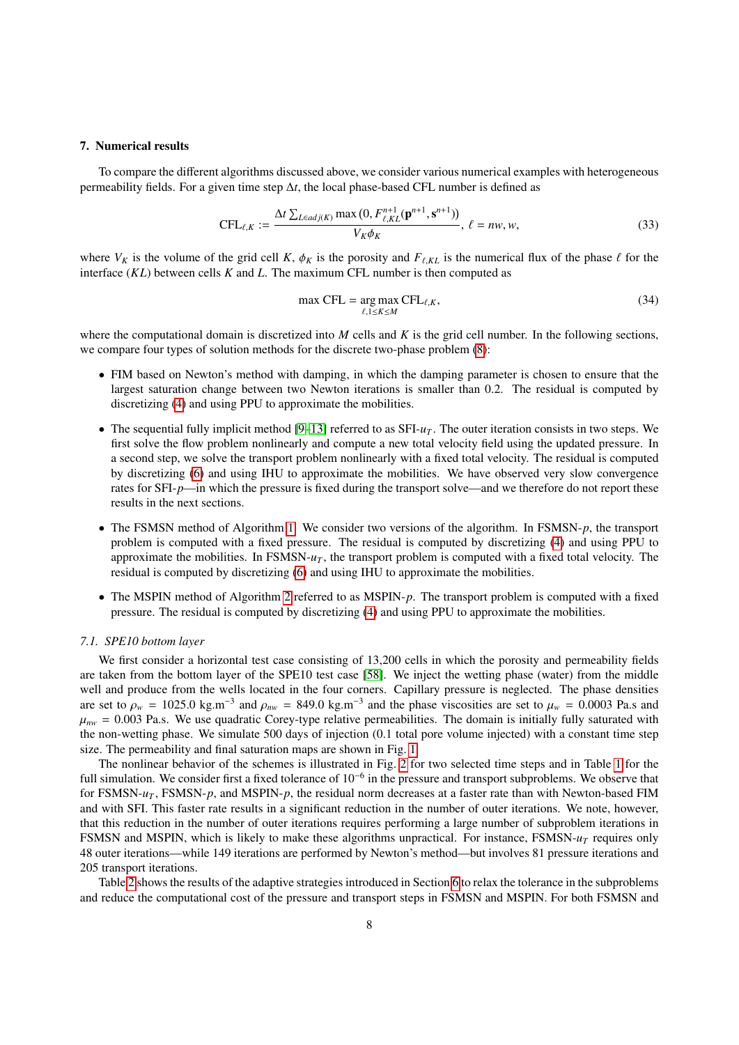#### <span id="page-7-0"></span>7. Numerical results

To compare the different algorithms discussed above, we consider various numerical examples with heterogeneous permeability fields. For a given time step ∆*t*, the local phase-based CFL number is defined as

$$
\text{CFL}_{\ell,K} := \frac{\Delta t \sum_{L \in adj(K)} \max(0, F_{\ell,KL}^{n+1}(\mathbf{p}^{n+1}, \mathbf{s}^{n+1}))}{V_K \phi_K}, \ell = nw, w,
$$
\n(33)

where  $V_K$  is the volume of the grid cell *K*,  $\phi_K$  is the porosity and  $F_{\ell,KL}$  is the numerical flux of the phase  $\ell$  for the interface (*KL*) between cells *K* and *L*. The maximum CFL number is then computed as

$$
\max \text{CFL} = \underset{\ell, 1 \le K \le M}{\arg \max} \text{CFL}_{\ell, K},\tag{34}
$$

where the computational domain is discretized into *M* cells and *K* is the grid cell number. In the following sections, we compare four types of solution methods for the discrete two-phase problem [\(8\)](#page-3-1):

- FIM based on Newton's method with damping, in which the damping parameter is chosen to ensure that the largest saturation change between two Newton iterations is smaller than 0.2. The residual is computed by discretizing [\(4\)](#page-2-4) and using PPU to approximate the mobilities.
- The sequential fully implicit method  $[9-13]$  $[9-13]$  referred to as  $SFI-u_T$ . The outer iteration consists in two steps. We first solve the flow problem nonlinearly and compute a new total velocity field using the updated pressure. In a second step, we solve the transport problem nonlinearly with a fixed total velocity. The residual is computed by discretizing [\(6\)](#page-2-7) and using IHU to approximate the mobilities. We have observed very slow convergence rates for SFI-*p*—in which the pressure is fixed during the transport solve—and we therefore do not report these results in the next sections.
- The FSMSN method of Algorithm [1.](#page-4-2) We consider two versions of the algorithm. In FSMSN-*p*, the transport problem is computed with a fixed pressure. The residual is computed by discretizing [\(4\)](#page-2-4) and using PPU to approximate the mobilities. In FSMSN- $u_T$ , the transport problem is computed with a fixed total velocity. The residual is computed by discretizing [\(6\)](#page-2-7) and using IHU to approximate the mobilities.
- The MSPIN method of Algorithm [2](#page-5-3) referred to as MSPIN-p. The transport problem is computed with a fixed pressure. The residual is computed by discretizing [\(4\)](#page-2-4) and using PPU to approximate the mobilities.

## <span id="page-7-1"></span>*7.1. SPE10 bottom layer*

We first consider a horizontal test case consisting of 13,200 cells in which the porosity and permeability fields are taken from the bottom layer of the SPE10 test case [\[58\]](#page-17-22). We inject the wetting phase (water) from the middle well and produce from the wells located in the four corners. Capillary pressure is neglected. The phase densities are set to  $\rho_w = 1025.0 \text{ kg.m}^{-3}$  and  $\rho_{nw} = 849.0 \text{ kg.m}^{-3}$  and the phase viscosities are set to  $\mu_w = 0.0003 \text{ Pa.s}$  and  $\mu_w = 0.003 \text{ Pa.s}$  We use quadratic Corey-type relative permeabilities. The domain is initially fu  $\mu_{nw}$  = 0.003 Pa.s. We use quadratic Corey-type relative permeabilities. The domain is initially fully saturated with the non-wetting phase. We simulate 500 days of injection (0.1 total pore volume injected) with a constant time step size. The permeability and final saturation maps are shown in Fig. [1.](#page-8-0)

The nonlinear behavior of the schemes is illustrated in Fig. [2](#page-8-1) for two selected time steps and in Table [1](#page-8-2) for the full simulation. We consider first a fixed tolerance of  $10^{-6}$  in the pressure and transport subproblems. We observe that for FSMSN-*u<sup>T</sup>* , FSMSN-*p*, and MSPIN-*p*, the residual norm decreases at a faster rate than with Newton-based FIM and with SFI. This faster rate results in a significant reduction in the number of outer iterations. We note, however, that this reduction in the number of outer iterations requires performing a large number of subproblem iterations in FSMSN and MSPIN, which is likely to make these algorithms unpractical. For instance, FSMSN-*u<sup>T</sup>* requires only 48 outer iterations—while 149 iterations are performed by Newton's method—but involves 81 pressure iterations and 205 transport iterations.

Table [2](#page-9-0) shows the results of the adaptive strategies introduced in Section [6](#page-5-0) to relax the tolerance in the subproblems and reduce the computational cost of the pressure and transport steps in FSMSN and MSPIN. For both FSMSN and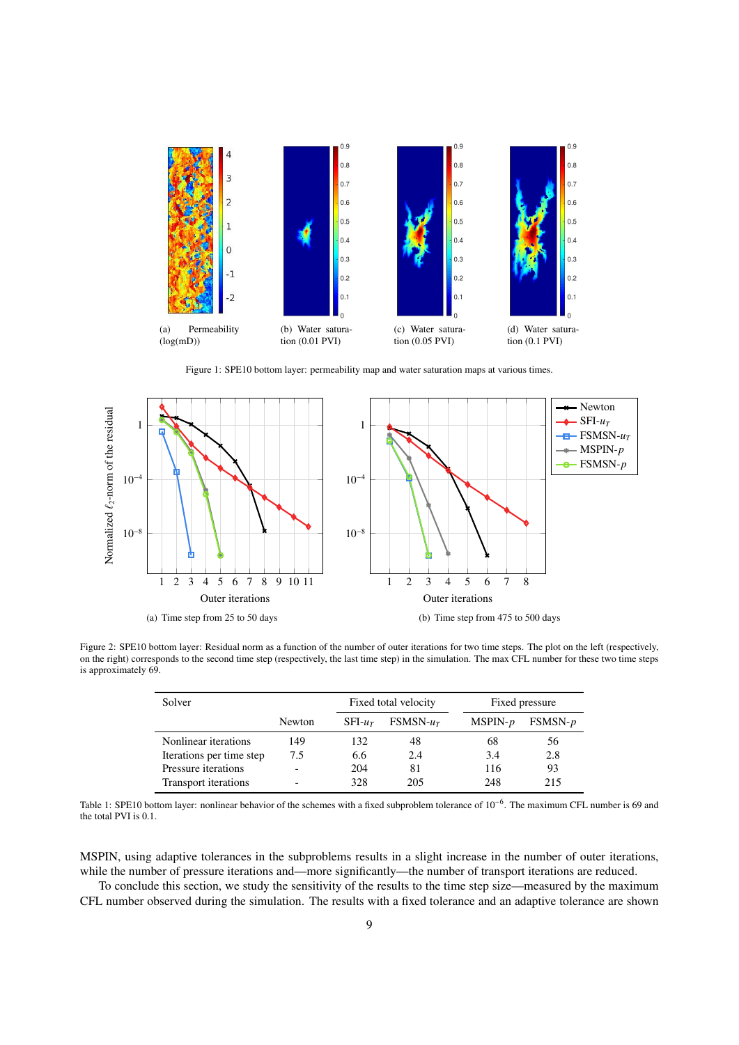<span id="page-8-0"></span>

Figure 1: SPE10 bottom layer: permeability map and water saturation maps at various times.

<span id="page-8-1"></span>

<span id="page-8-2"></span>Figure 2: SPE10 bottom layer: Residual norm as a function of the number of outer iterations for two time steps. The plot on the left (respectively, on the right) corresponds to the second time step (respectively, the last time step) in the simulation. The max CFL number for these two time steps is approximately 69.

| Solver                   |                          |         | Fixed total velocity |           | Fixed pressure |  |  |  |
|--------------------------|--------------------------|---------|----------------------|-----------|----------------|--|--|--|
|                          | Newton                   | $SFI-u$ | $FSMSN-u_T$          | $MSPIN-p$ | $FSMSN-p$      |  |  |  |
| Nonlinear iterations     | 149                      | 132     | 48                   | 68        | 56             |  |  |  |
| Iterations per time step | 7.5                      | 6.6     | 2.4                  | 3.4       | 2.8            |  |  |  |
| Pressure iterations      |                          | 204     | 81                   | 116       | 93             |  |  |  |
| Transport iterations     | $\overline{\phantom{0}}$ | 328     | 205                  | 248       | 215            |  |  |  |

Table 1: SPE10 bottom layer: nonlinear behavior of the schemes with a fixed subproblem tolerance of 10<sup>-6</sup>. The maximum CFL number is 69 and the total PVI is 0.1.

MSPIN, using adaptive tolerances in the subproblems results in a slight increase in the number of outer iterations, while the number of pressure iterations and—more significantly—the number of transport iterations are reduced.

To conclude this section, we study the sensitivity of the results to the time step size—measured by the maximum CFL number observed during the simulation. The results with a fixed tolerance and an adaptive tolerance are shown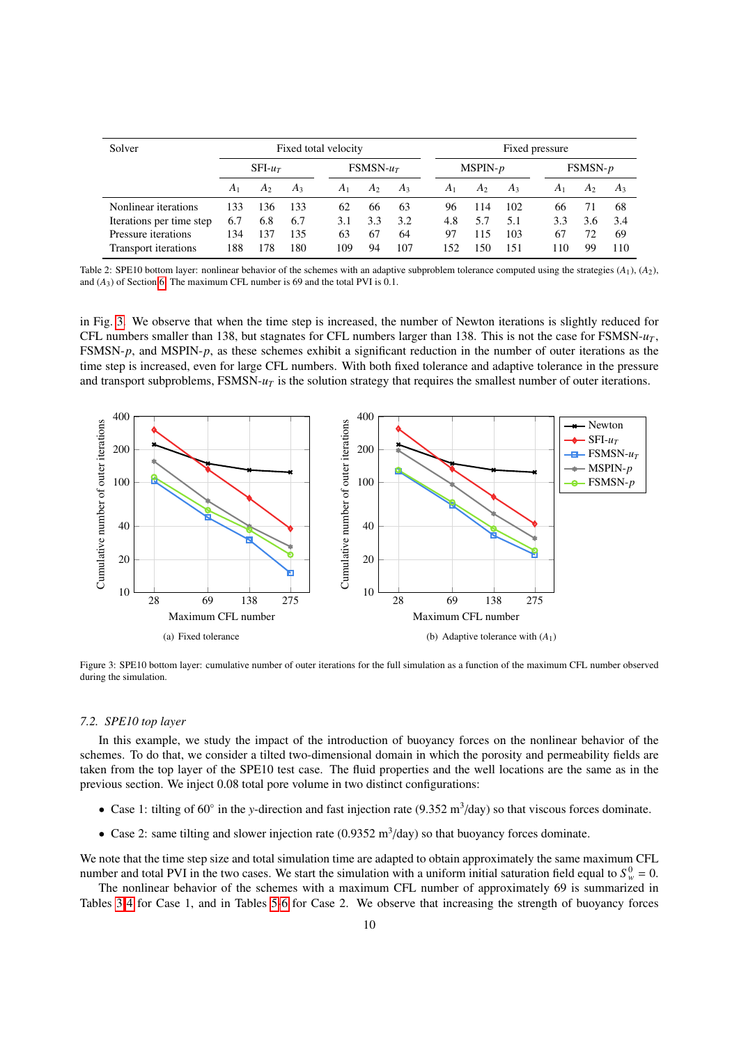<span id="page-9-0"></span>

| Solver                    |                | Fixed total velocity |       |             |                |       | Fixed pressure |                |       |                |                |       |
|---------------------------|----------------|----------------------|-------|-------------|----------------|-------|----------------|----------------|-------|----------------|----------------|-------|
|                           | $SFI$ - $u_T$  |                      |       | $FSMSN-u_T$ |                |       | $MSPIN-p$      |                |       | $FSMSN-p$      |                |       |
|                           | A <sub>1</sub> | A2                   | $A_3$ | $A_1$       | A <sub>2</sub> | $A_3$ | A <sub>1</sub> | A <sub>2</sub> | $A_3$ | A <sub>1</sub> | A <sub>2</sub> | $A_3$ |
| Nonlinear iterations      | 133            | 136                  | 133   | 62          | 66             | 63    | 96             | 114            | 102   | 66             | 71             | 68    |
| Iterations per time step. | 6.7            | 6.8                  | 6.7   | 3.1         | 3.3            | 3.2   | 4.8            | 5.7            | 5.1   | 3.3            | 3.6            | 3.4   |
| Pressure iterations       | 134            | 137                  | 135   | 63          | 67             | 64    | 97             | 115            | 103   | 67             | 72             | 69    |
| Transport iterations      | 188            | 178                  | 180   | 109         | 94             | 107   | 152            | 50             | 151   | 110            | 99             | 110   |

Table 2: SPE10 bottom layer: nonlinear behavior of the schemes with an adaptive subproblem tolerance computed using the strategies (*A*1), (*A*2), and  $(A_3)$  of Section [6.](#page-5-0) The maximum CFL number is 69 and the total PVI is  $0.1$ .

in Fig. [3.](#page-9-1) We observe that when the time step is increased, the number of Newton iterations is slightly reduced for CFL numbers smaller than 138, but stagnates for CFL numbers larger than 138. This is not the case for FSMSN-*u<sup>T</sup>* , FSMSN-*p*, and MSPIN-*p*, as these schemes exhibit a significant reduction in the number of outer iterations as the time step is increased, even for large CFL numbers. With both fixed tolerance and adaptive tolerance in the pressure and transport subproblems, FSMSN- $u<sub>T</sub>$  is the solution strategy that requires the smallest number of outer iterations.

<span id="page-9-1"></span>

Figure 3: SPE10 bottom layer: cumulative number of outer iterations for the full simulation as a function of the maximum CFL number observed during the simulation.

#### <span id="page-9-2"></span>*7.2. SPE10 top layer*

In this example, we study the impact of the introduction of buoyancy forces on the nonlinear behavior of the schemes. To do that, we consider a tilted two-dimensional domain in which the porosity and permeability fields are taken from the top layer of the SPE10 test case. The fluid properties and the well locations are the same as in the previous section. We inject 0.08 total pore volume in two distinct configurations:

- Case 1: tilting of 60° in the *y*-direction and fast injection rate (9.352 m<sup>3</sup>/day) so that viscous forces dominate.
- Case 2: same tilting and slower injection rate (0.9352 m<sup>3</sup>/day) so that buoyancy forces dominate.

We note that the time step size and total simulation time are adapted to obtain approximately the same maximum CFL number and total PVI in the two cases. We start the simulation with a uniform initial saturation field equal to  $S_w^0 = 0$ .

The nonlinear behavior of the schemes with a maximum CFL number of approximately 69 is summarized in Tables [3-](#page-10-0)[4](#page-10-1) for Case 1, and in Tables [5-](#page-10-2)[6](#page-10-3) for Case 2. We observe that increasing the strength of buoyancy forces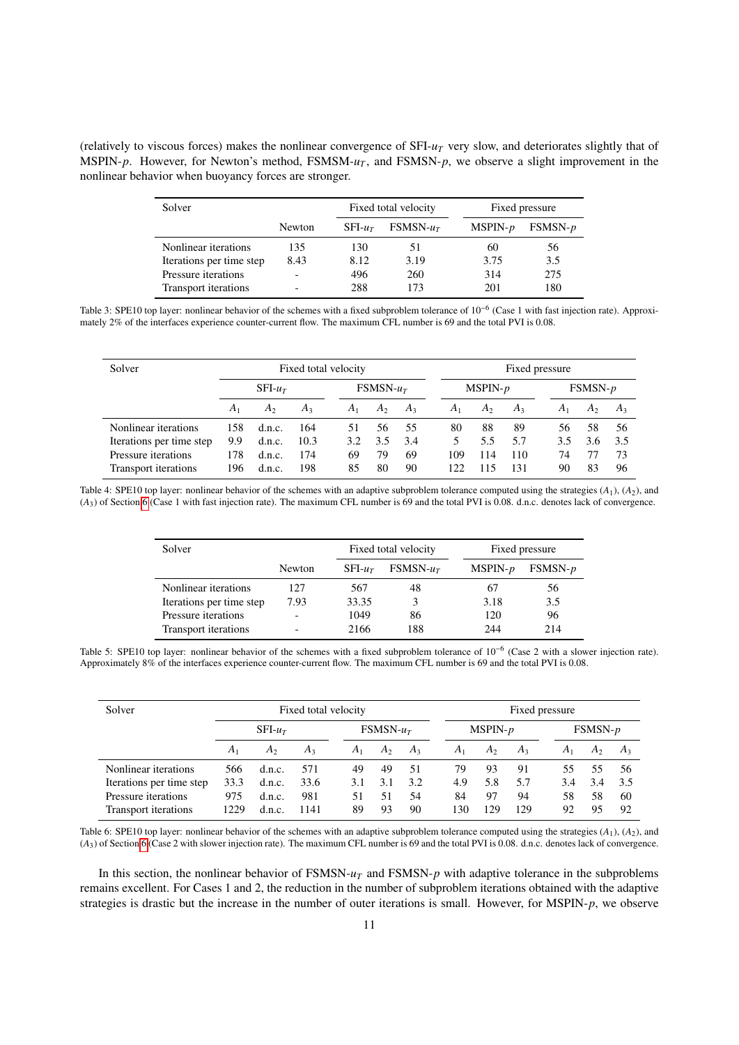<span id="page-10-0"></span>(relatively to viscous forces) makes the nonlinear convergence of SFI-*u<sup>T</sup>* very slow, and deteriorates slightly that of MSPIN-*p*. However, for Newton's method, FSMSM-*u<sup>T</sup>* , and FSMSN-*p*, we observe a slight improvement in the nonlinear behavior when buoyancy forces are stronger.

| Solver                   |        | Fixed total velocity |             | Fixed pressure |           |  |  |
|--------------------------|--------|----------------------|-------------|----------------|-----------|--|--|
|                          | Newton | $SFI$ - $u_T$        | $FSMSN-u_T$ | $MSPIN-p$      | $FSMSN-p$ |  |  |
| Nonlinear iterations     | 135    | 130                  | 51          | 60             | 56        |  |  |
| Iterations per time step | 8.43   | 8.12                 | 3.19        | 3.75           | 3.5       |  |  |
| Pressure iterations      |        | 496                  | 260         | 314            | 275       |  |  |
| Transport iterations     |        | 288                  | 173         | 201            | 180       |  |  |

Table 3: SPE10 top layer: nonlinear behavior of the schemes with a fixed subproblem tolerance of 10<sup>-6</sup> (Case 1 with fast injection rate). Approximately 2% of the interfaces experience counter-current flow. The maximum CFL number is 69 and the total PVI is 0.08.

<span id="page-10-1"></span>

| Solver                   | Fixed total velocity |                |                |            |       | Fixed pressure |       |                |       |                |                |       |  |
|--------------------------|----------------------|----------------|----------------|------------|-------|----------------|-------|----------------|-------|----------------|----------------|-------|--|
|                          | $SFI-u$              |                |                | $FSMSN-uT$ |       |                |       | $MSPIN-p$      |       |                | $FSMSN-p$      |       |  |
|                          | A <sub>1</sub>       | A <sub>2</sub> | A <sub>3</sub> | $A_1$      | $A_2$ | $A_3$          | $A_1$ | A <sub>2</sub> | $A_3$ | A <sub>1</sub> | A <sub>2</sub> | $A_3$ |  |
| Nonlinear iterations     | 158                  | d.n.c.         | 164            | 51         | 56    | 55             | 80    | 88             | 89    | 56             | 58             | 56    |  |
| Iterations per time step | 9.9                  | d.n.c.         | 10.3           | 3.2        | 3.5   | 3.4            | 5     | 5.5            | 5.7   | 3.5            | 3.6            | 3.5   |  |
| Pressure iterations      | 178                  | d.n.c.         | 174            | 69         | 79    | 69             | 109   | 114            | 110   | 74             | 77             | 73    |  |
| Transport iterations     | 196                  | d.n.c.         | 198            | 85         | 80    | 90             | 122   | -15            | 131   | 90             | 83             | 96    |  |

<span id="page-10-2"></span>Table 4: SPE10 top layer: nonlinear behavior of the schemes with an adaptive subproblem tolerance computed using the strategies (*A*1), (*A*2), and (*A*3) of Section [6](#page-5-0) (Case 1 with fast injection rate). The maximum CFL number is 69 and the total PVI is 0.08. d.n.c. denotes lack of convergence.

| Solver                   |        |         | Fixed total velocity | Fixed pressure |           |  |  |
|--------------------------|--------|---------|----------------------|----------------|-----------|--|--|
|                          | Newton | $SFI-u$ | $FSMSN-u_T$          | $MSPIN-p$      | $FSMSN-p$ |  |  |
| Nonlinear iterations     | 127    | 567     | 48                   | 67             | 56        |  |  |
| Iterations per time step | 7.93   | 33.35   |                      | 3.18           | 3.5       |  |  |
| Pressure iterations      |        | 1049    | 86                   | 120            | 96        |  |  |
| Transport iterations     |        | 2166    | 188                  | 244            | 214       |  |  |

Table 5: SPE10 top layer: nonlinear behavior of the schemes with a fixed subproblem tolerance of 10<sup>-6</sup> (Case 2 with a slower injection rate). Approximately 8% of the interfaces experience counter-current flow. The maximum CFL number is 69 and the total PVI is 0.08.

<span id="page-10-3"></span>

| Solver                   |                | Fixed total velocity |       |             |       |       |                | Fixed pressure |                |                |                |       |  |  |
|--------------------------|----------------|----------------------|-------|-------------|-------|-------|----------------|----------------|----------------|----------------|----------------|-------|--|--|
|                          | $SFI-uT$       |                      |       | $FSMSN-u_T$ |       |       |                | $MSPIN-p$      |                |                | $FSMSN-p$      |       |  |  |
|                          | A <sub>1</sub> | A <sub>2</sub>       | $A_3$ | $A_1$       | $A_2$ | $A_3$ | A <sub>1</sub> | A <sub>2</sub> | A <sub>3</sub> | A <sub>1</sub> | A <sub>2</sub> | $A_3$ |  |  |
| Nonlinear iterations     | 566            | d.n.c.               | 571   | 49          | 49    | 51    | 79             | 93             | 91             | 55             | 55             | 56    |  |  |
| Iterations per time step | 33.3           | d.n.c.               | 33.6  | 3.1         | 3.1   | 3.2   | 4.9            | 5.8            | 5.7            | 3.4            | 3.4            | 3.5   |  |  |
| Pressure iterations      | 975            | d.n.c.               | 981   | 51          | 51    | 54    | 84             | 97             | 94             | 58             | 58             | 60    |  |  |
| Transport iterations     | 1229           | d.n.c.               | 1141  | 89          | 93    | 90    | 130            | 29             | 129            | 92             | 95             | 92    |  |  |

Table 6: SPE10 top layer: nonlinear behavior of the schemes with an adaptive subproblem tolerance computed using the strategies (*A*1), (*A*2), and (*A*3) of Section [6](#page-5-0) (Case 2 with slower injection rate). The maximum CFL number is 69 and the total PVI is 0.08. d.n.c. denotes lack of convergence.

In this section, the nonlinear behavior of FSMSN-*u<sup>T</sup>* and FSMSN-*p* with adaptive tolerance in the subproblems remains excellent. For Cases 1 and 2, the reduction in the number of subproblem iterations obtained with the adaptive strategies is drastic but the increase in the number of outer iterations is small. However, for MSPIN-*p*, we observe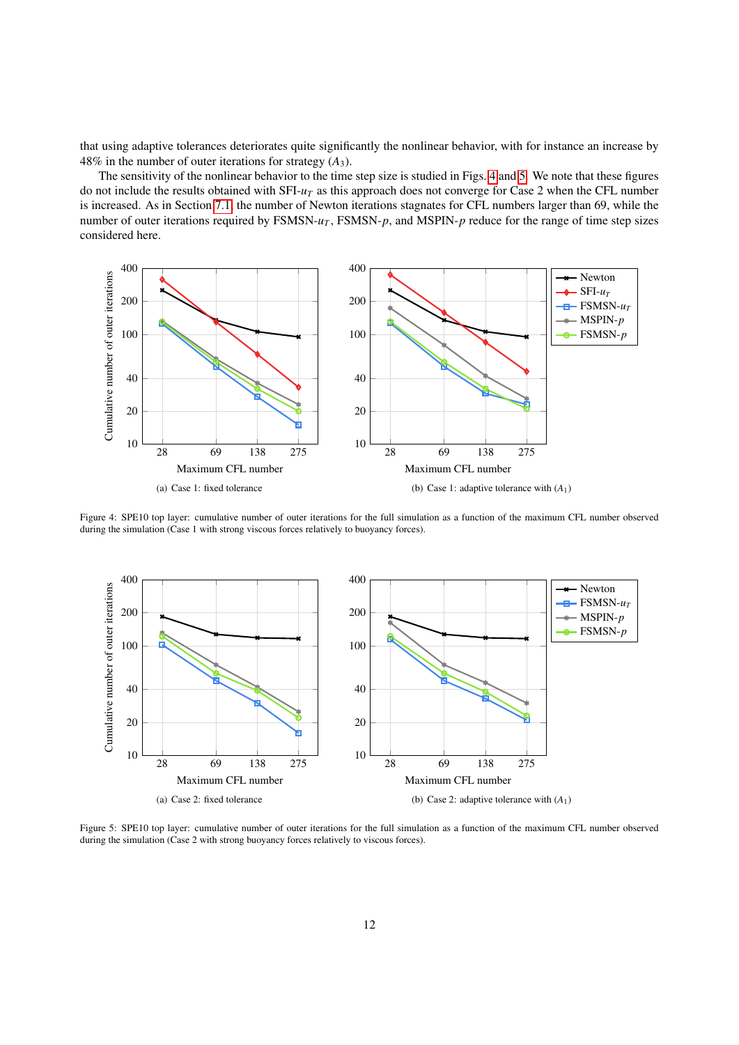that using adaptive tolerances deteriorates quite significantly the nonlinear behavior, with for instance an increase by 48% in the number of outer iterations for strategy  $(A_3)$ .

The sensitivity of the nonlinear behavior to the time step size is studied in Figs. [4](#page-11-0) and [5.](#page-11-1) We note that these figures do not include the results obtained with SFI-*u<sup>T</sup>* as this approach does not converge for Case 2 when the CFL number is increased. As in Section [7.1,](#page-7-1) the number of Newton iterations stagnates for CFL numbers larger than 69, while the number of outer iterations required by FSMSN- $u_T$ , FSMSN- $p$ , and MSPIN- $p$  reduce for the range of time step sizes considered here.

<span id="page-11-0"></span>

Figure 4: SPE10 top layer: cumulative number of outer iterations for the full simulation as a function of the maximum CFL number observed during the simulation (Case 1 with strong viscous forces relatively to buoyancy forces).

<span id="page-11-1"></span>

Figure 5: SPE10 top layer: cumulative number of outer iterations for the full simulation as a function of the maximum CFL number observed during the simulation (Case 2 with strong buoyancy forces relatively to viscous forces).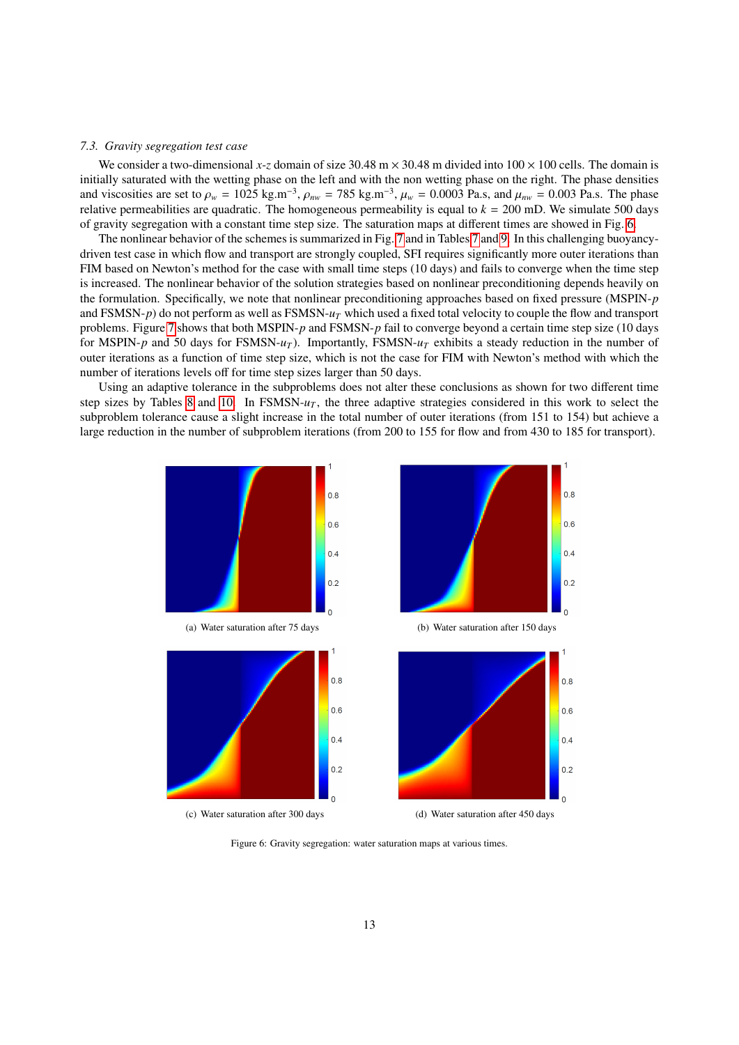#### *7.3. Gravity segregation test case*

We consider a two-dimensional x-z domain of size  $30.48 \text{ m} \times 30.48 \text{ m}$  divided into  $100 \times 100 \text{ cells}$ . The domain is initially saturated with the wetting phase on the left and with the non wetting phase on the right. The phase densities and viscosities are set to  $\rho_w = 1025 \text{ kg.m}^{-3}$ ,  $\rho_{nw} = 785 \text{ kg.m}^{-3}$ ,  $\mu_w = 0.0003 \text{ Pa.s}$ , and  $\mu_{nw} = 0.003 \text{ Pa.s}$ . The phase relative permeabilities are quadratic. The homogeneous permeability is equal to  $k = 200 \text{ mD$ relative permeabilities are quadratic. The homogeneous permeability is equal to  $k = 200$  mD. We simulate 500 days of gravity segregation with a constant time step size. The saturation maps at different times are showed in Fig. [6.](#page-12-0)

The nonlinear behavior of the schemes is summarized in Fig. [7](#page-13-0) and in Tables [7](#page-13-1) and [9.](#page-13-2) In this challenging buoyancydriven test case in which flow and transport are strongly coupled, SFI requires significantly more outer iterations than FIM based on Newton's method for the case with small time steps (10 days) and fails to converge when the time step is increased. The nonlinear behavior of the solution strategies based on nonlinear preconditioning depends heavily on the formulation. Specifically, we note that nonlinear preconditioning approaches based on fixed pressure (MSPIN-*p* and FSMSN-*p*) do not perform as well as FSMSN-*u<sup>T</sup>* which used a fixed total velocity to couple the flow and transport problems. Figure [7](#page-13-0) shows that both MSPIN-*p* and FSMSN-*p* fail to converge beyond a certain time step size (10 days for MSPIN-*p* and 50 days for FSMSN-*u<sup>T</sup>* ). Importantly, FSMSN-*u<sup>T</sup>* exhibits a steady reduction in the number of outer iterations as a function of time step size, which is not the case for FIM with Newton's method with which the number of iterations levels off for time step sizes larger than 50 days.

Using an adaptive tolerance in the subproblems does not alter these conclusions as shown for two different time step sizes by Tables [8](#page-13-3) and [10.](#page-14-0) In  $FSMSN-u_T$ , the three adaptive strategies considered in this work to select the subproblem tolerance cause a slight increase in the total number of outer iterations (from 151 to 154) but achieve a large reduction in the number of subproblem iterations (from 200 to 155 for flow and from 430 to 185 for transport).

<span id="page-12-0"></span>

Figure 6: Gravity segregation: water saturation maps at various times.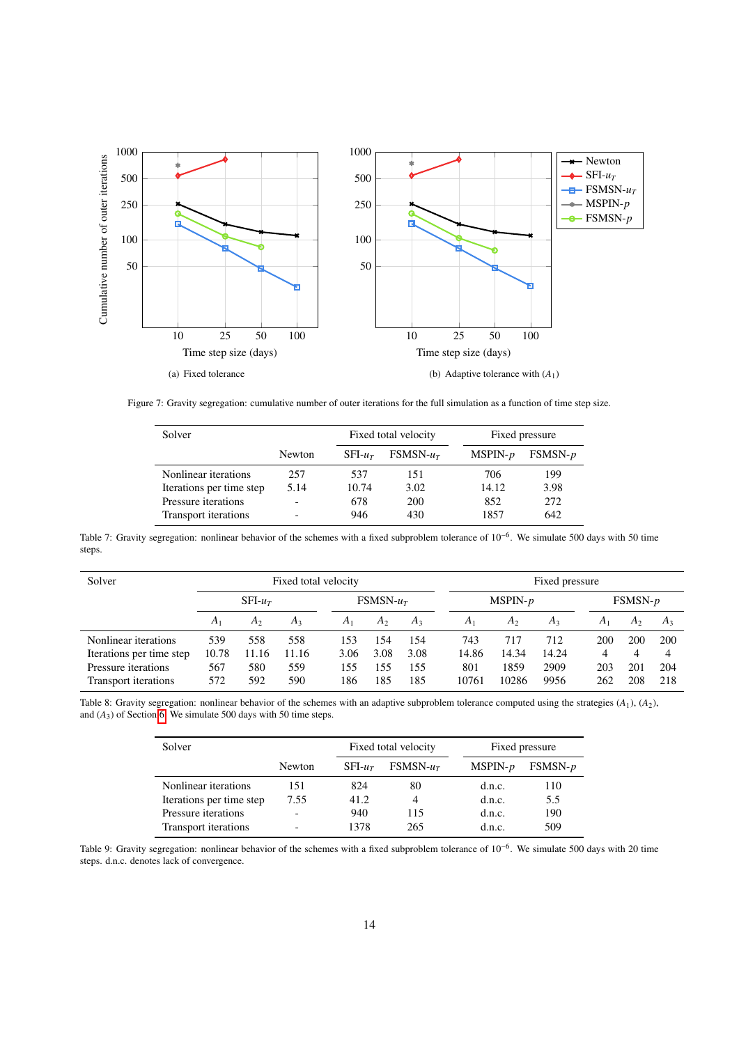<span id="page-13-0"></span>

<span id="page-13-1"></span>Figure 7: Gravity segregation: cumulative number of outer iterations for the full simulation as a function of time step size.

| Solver                    |                          | Fixed total velocity |             | Fixed pressure |           |  |  |
|---------------------------|--------------------------|----------------------|-------------|----------------|-----------|--|--|
|                           | Newton                   | SFLur                | $FSMSN-u_T$ | $MSPIN-p$      | $FSMSN-p$ |  |  |
| Nonlinear iterations      | 257                      | 537                  | 151         | 706            | 199       |  |  |
| Iterations per time step. | 5.14                     | 10.74                | 3.02        | 14.12          | 3.98      |  |  |
| Pressure iterations       | $\overline{\phantom{0}}$ | 678                  | 200         | 852            | 272       |  |  |
| Transport iterations      |                          | 946                  | 430         | 1857           | 642       |  |  |

Table 7: Gravity segregation: nonlinear behavior of the schemes with a fixed subproblem tolerance of 10<sup>-6</sup>. We simulate 500 days with 50 time steps.

<span id="page-13-3"></span>

| Solver                   |               | Fixed total velocity |             |                |                |           |       | Fixed pressure |           |       |                |       |  |
|--------------------------|---------------|----------------------|-------------|----------------|----------------|-----------|-------|----------------|-----------|-------|----------------|-------|--|
|                          | $SFI$ - $u_T$ |                      | $FSMSN-u_T$ |                |                | $MSPIN-p$ |       |                | $FSMSN-p$ |       |                |       |  |
|                          | $A_1$         | $A_2$                | $A_3$       | A <sub>1</sub> | A <sub>2</sub> | $A_3$     | $A_1$ | A <sub>2</sub> | $A_3$     | $A_1$ | A <sub>2</sub> | $A_3$ |  |
| Nonlinear iterations     | 539           | 558                  | 558         | 153            | 154            | 154       | 743   | 717            | 712       | 200   | 200            | 200   |  |
| Iterations per time step | 10.78         | 11.16                | 11.16       | 3.06           | 3.08           | 3.08      | 14.86 | 14.34          | 14.24     | 4     | 4              |       |  |
| Pressure iterations      | 567           | 580                  | 559         | 155            | 155            | 155       | 801   | 1859           | 2909      | 203   | 201            | 204   |  |
| Transport iterations     | 572           | 592                  | 590         | 186            | 185            | 185       | 10761 | 10286          | 9956      | 262   | 208            | 218   |  |

<span id="page-13-2"></span>Table 8: Gravity segregation: nonlinear behavior of the schemes with an adaptive subproblem tolerance computed using the strategies (*A*1), (*A*2), and  $(A_3)$  of Section [6.](#page-5-0) We simulate 500 days with 50 time steps.

| Solver                   |        | Fixed total velocity |             | Fixed pressure |           |  |  |
|--------------------------|--------|----------------------|-------------|----------------|-----------|--|--|
|                          | Newton | $SFI-u$              | $FSMSN-u_T$ | $MSPIN-p$      | $FSMSN-p$ |  |  |
| Nonlinear iterations     | 151    | 824                  | 80          | d.n.c.         | 110       |  |  |
| Iterations per time step | 7.55   | 41.2                 |             | d.n.c.         | 5.5       |  |  |
| Pressure iterations      |        | 940                  | 115         | d.n.c.         | 190       |  |  |
| Transport iterations     |        | 1378                 | 265         | d.n.c.         | 509       |  |  |

Table 9: Gravity segregation: nonlinear behavior of the schemes with a fixed subproblem tolerance of 10<sup>-6</sup>. We simulate 500 days with 20 time steps. d.n.c. denotes lack of convergence.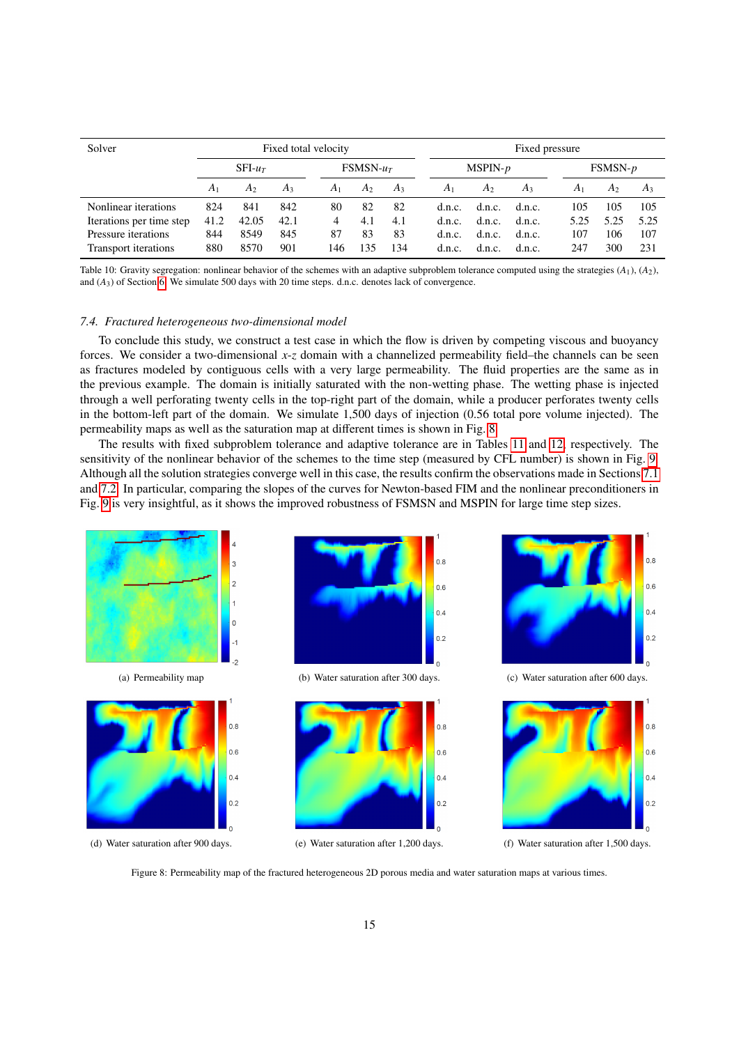<span id="page-14-0"></span>

| Solver                   | Fixed total velocity   |       |       |                |                |           |                | Fixed pressure |        |                |                |       |  |  |
|--------------------------|------------------------|-------|-------|----------------|----------------|-----------|----------------|----------------|--------|----------------|----------------|-------|--|--|
|                          | $SFI-u$<br>$FSMSN-u_T$ |       |       | $MSPIN-p$      |                | $FSMSN-p$ |                |                |        |                |                |       |  |  |
|                          | A <sub>1</sub>         | A2    | $A_3$ | A <sub>1</sub> | A <sub>2</sub> | $A_3$     | A <sub>1</sub> | A <sub>2</sub> | $A_3$  | A <sub>1</sub> | A <sub>2</sub> | $A_3$ |  |  |
| Nonlinear iterations     | 824                    | 841   | 842   | 80             | 82             | 82        | d.n.c.         | d.n.c.         | d.n.c. | 105            | 105            | 105   |  |  |
| Iterations per time step | 41.2                   | 42.05 | 42.1  | 4              | 4.1            | 4.1       | d.n.c.         | d.n.c.         | d.n.c. | 5.25           | 5.25           | 5.25  |  |  |
| Pressure iterations      | 844                    | 8549  | 845   | 87             | 83             | 83        | d.n.c.         | d.n.c.         | d.n.c. | 107            | 106            | 107   |  |  |
| Transport iterations     | 880                    | 8570  | 901   | 146            | 35             | 134       | d.n.c.         | d.n.c.         | d.n.c. | 247            | 300            | 231   |  |  |

Table 10: Gravity segregation: nonlinear behavior of the schemes with an adaptive subproblem tolerance computed using the strategies (*A*1), (*A*2), and (*A*3) of Section [6.](#page-5-0) We simulate 500 days with 20 time steps. d.n.c. denotes lack of convergence.

#### *7.4. Fractured heterogeneous two-dimensional model*

To conclude this study, we construct a test case in which the flow is driven by competing viscous and buoyancy forces. We consider a two-dimensional *x*-*z* domain with a channelized permeability field–the channels can be seen as fractures modeled by contiguous cells with a very large permeability. The fluid properties are the same as in the previous example. The domain is initially saturated with the non-wetting phase. The wetting phase is injected through a well perforating twenty cells in the top-right part of the domain, while a producer perforates twenty cells in the bottom-left part of the domain. We simulate 1,500 days of injection (0.56 total pore volume injected). The permeability maps as well as the saturation map at different times is shown in Fig. [8](#page-14-1)

The results with fixed subproblem tolerance and adaptive tolerance are in Tables [11](#page-15-0) and [12,](#page-15-1) respectively. The sensitivity of the nonlinear behavior of the schemes to the time step (measured by CFL number) is shown in Fig. [9.](#page-15-2) Although all the solution strategies converge well in this case, the results confirm the observations made in Sections [7.1](#page-7-1) and [7.2.](#page-9-2) In particular, comparing the slopes of the curves for Newton-based FIM and the nonlinear preconditioners in Fig. [9](#page-15-2) is very insightful, as it shows the improved robustness of FSMSN and MSPIN for large time step sizes.

<span id="page-14-1"></span>

Figure 8: Permeability map of the fractured heterogeneous 2D porous media and water saturation maps at various times.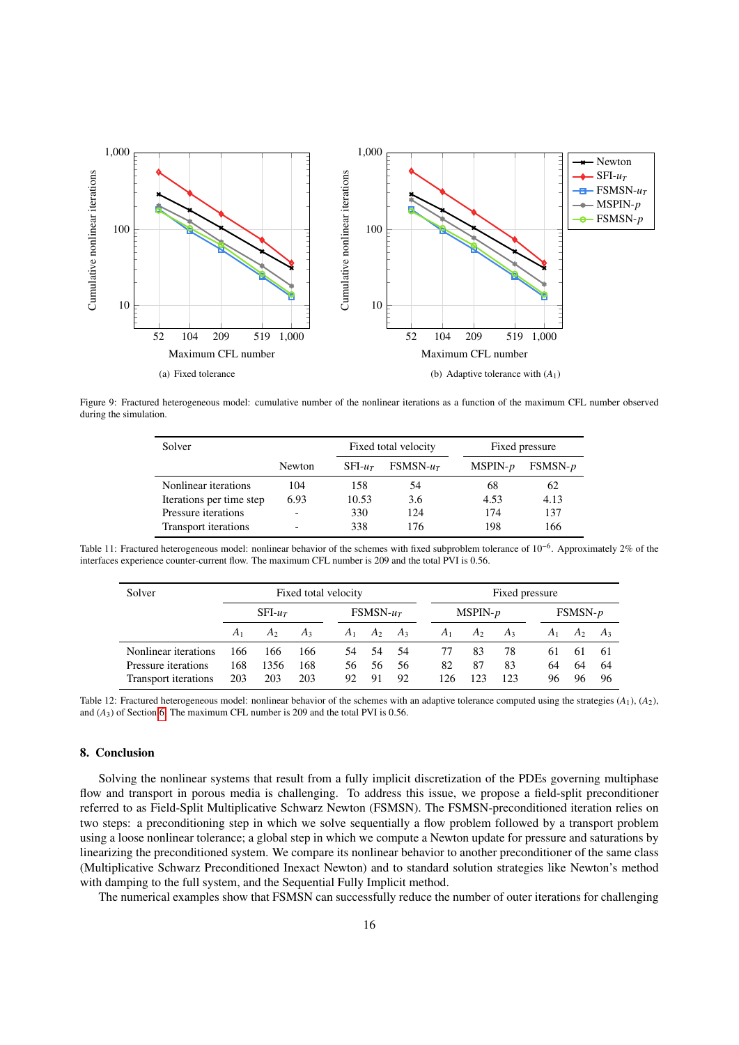<span id="page-15-2"></span>

<span id="page-15-0"></span>Figure 9: Fractured heterogeneous model: cumulative number of the nonlinear iterations as a function of the maximum CFL number observed during the simulation.

| Solver                   |                          |          | Fixed total velocity |           | Fixed pressure |  |  |  |
|--------------------------|--------------------------|----------|----------------------|-----------|----------------|--|--|--|
|                          | Newton                   | $SFI-ur$ | $FSMSN-ur$           | $MSPIN-p$ | $FSMSN-p$      |  |  |  |
| Nonlinear iterations     | 104                      | 158      | 54                   | 68        | 62             |  |  |  |
| Iterations per time step | 6.93                     | 10.53    | 3.6                  | 4.53      | 4.13           |  |  |  |
| Pressure iterations      | $\overline{\phantom{0}}$ | 330      | 124                  | 174       | 137            |  |  |  |
| Transport iterations     | $\overline{\phantom{0}}$ | 338      | 176                  | 198       | 166            |  |  |  |

<span id="page-15-1"></span>Table 11: Fractured heterogeneous model: nonlinear behavior of the schemes with fixed subproblem tolerance of 10<sup>-6</sup>. Approximately 2% of the interfaces experience counter-current flow. The maximum CFL number is 209 and the total PVI is 0.56.

| Solver               | Fixed total velocity |                |                |            |                   |     | Fixed pressure |                |       |       |                |       |  |
|----------------------|----------------------|----------------|----------------|------------|-------------------|-----|----------------|----------------|-------|-------|----------------|-------|--|
|                      | $SFI$ - $u_T$        |                |                | $FSMSN-uT$ |                   |     | $MSPIN-p$      |                |       |       | $FSMSN-p$      |       |  |
|                      | A <sub>1</sub>       | A <sub>2</sub> | A <sub>3</sub> |            | $A_1$ $A_2$ $A_3$ |     | $A_1$          | A <sub>2</sub> | $A_3$ | $A_1$ | A <sub>2</sub> | $A_3$ |  |
| Nonlinear iterations | 166                  | 166            | 166            | 54         | 54                | -54 | 77             | 83             | 78    | 61    | 61             | -61   |  |
| Pressure iterations  | 168                  | 1356           | 168            | 56.        | 56                | 56  | 82             | 87             | 83    | 64    | 64             | -64   |  |
| Transport iterations | 203                  | 203            | 203            | 92         | 91                | 92  | 126            | 123            | 123   | 96    | 96             | 96    |  |

Table 12: Fractured heterogeneous model: nonlinear behavior of the schemes with an adaptive tolerance computed using the strategies  $(A_1), (A_2)$ , and (*A*3) of Section [6.](#page-5-0) The maximum CFL number is 209 and the total PVI is 0.56.

## 8. Conclusion

Solving the nonlinear systems that result from a fully implicit discretization of the PDEs governing multiphase flow and transport in porous media is challenging. To address this issue, we propose a field-split preconditioner referred to as Field-Split Multiplicative Schwarz Newton (FSMSN). The FSMSN-preconditioned iteration relies on two steps: a preconditioning step in which we solve sequentially a flow problem followed by a transport problem using a loose nonlinear tolerance; a global step in which we compute a Newton update for pressure and saturations by linearizing the preconditioned system. We compare its nonlinear behavior to another preconditioner of the same class (Multiplicative Schwarz Preconditioned Inexact Newton) and to standard solution strategies like Newton's method with damping to the full system, and the Sequential Fully Implicit method.

The numerical examples show that FSMSN can successfully reduce the number of outer iterations for challenging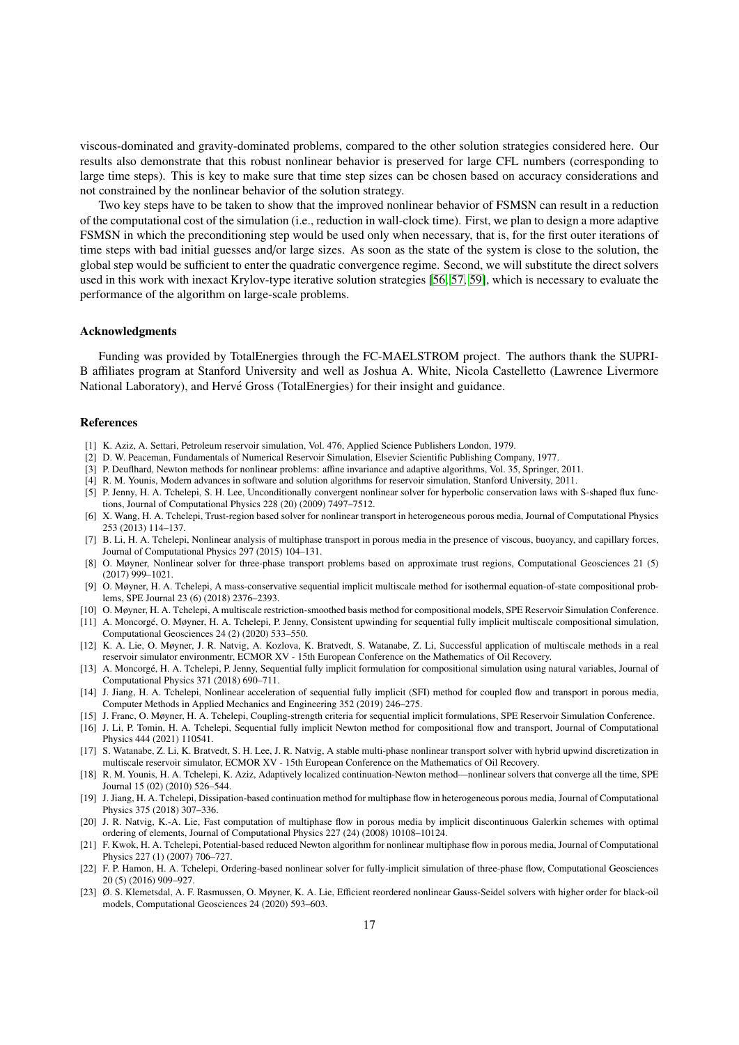viscous-dominated and gravity-dominated problems, compared to the other solution strategies considered here. Our results also demonstrate that this robust nonlinear behavior is preserved for large CFL numbers (corresponding to large time steps). This is key to make sure that time step sizes can be chosen based on accuracy considerations and not constrained by the nonlinear behavior of the solution strategy.

Two key steps have to be taken to show that the improved nonlinear behavior of FSMSN can result in a reduction of the computational cost of the simulation (i.e., reduction in wall-clock time). First, we plan to design a more adaptive FSMSN in which the preconditioning step would be used only when necessary, that is, for the first outer iterations of time steps with bad initial guesses and/or large sizes. As soon as the state of the system is close to the solution, the global step would be sufficient to enter the quadratic convergence regime. Second, we will substitute the direct solvers used in this work with inexact Krylov-type iterative solution strategies [\[56,](#page-17-18) [57,](#page-17-19) [59\]](#page-17-23), which is necessary to evaluate the performance of the algorithm on large-scale problems.

#### Acknowledgments

Funding was provided by TotalEnergies through the FC-MAELSTROM project. The authors thank the SUPRI-B affiliates program at Stanford University and well as Joshua A. White, Nicola Castelletto (Lawrence Livermore National Laboratory), and Hervé Gross (TotalEnergies) for their insight and guidance.

#### References

- <span id="page-16-0"></span>[1] K. Aziz, A. Settari, Petroleum reservoir simulation, Vol. 476, Applied Science Publishers London, 1979.
- <span id="page-16-1"></span>[2] D. W. Peaceman, Fundamentals of Numerical Reservoir Simulation, Elsevier Scientific Publishing Company, 1977.
- <span id="page-16-2"></span>[3] P. Deuflhard, Newton methods for nonlinear problems: affine invariance and adaptive algorithms, Vol. 35, Springer, 2011.
- <span id="page-16-3"></span>[4] R. M. Younis, Modern advances in software and solution algorithms for reservoir simulation, Stanford University, 2011.
- <span id="page-16-4"></span>[5] P. Jenny, H. A. Tchelepi, S. H. Lee, Unconditionally convergent nonlinear solver for hyperbolic conservation laws with S-shaped flux functions, Journal of Computational Physics 228 (20) (2009) 7497–7512.
- [6] X. Wang, H. A. Tchelepi, Trust-region based solver for nonlinear transport in heterogeneous porous media, Journal of Computational Physics 253 (2013) 114–137.
- [7] B. Li, H. A. Tchelepi, Nonlinear analysis of multiphase transport in porous media in the presence of viscous, buoyancy, and capillary forces, Journal of Computational Physics 297 (2015) 104–131.
- <span id="page-16-5"></span>[8] O. Møyner, Nonlinear solver for three-phase transport problems based on approximate trust regions, Computational Geosciences 21 (5) (2017) 999–1021.
- <span id="page-16-6"></span>[9] O. Møyner, H. A. Tchelepi, A mass-conservative sequential implicit multiscale method for isothermal equation-of-state compositional problems, SPE Journal 23 (6) (2018) 2376–2393.
- [10] O. Møyner, H. A. Tchelepi, A multiscale restriction-smoothed basis method for compositional models, SPE Reservoir Simulation Conference.
- <span id="page-16-13"></span>[11] A. Moncorge, O. Møyner, H. A. Tchelepi, P. Jenny, Consistent upwinding for sequential fully implicit multiscale compositional simulation, ´ Computational Geosciences 24 (2) (2020) 533–550.
- [12] K. A. Lie, O. Møyner, J. R. Natvig, A. Kozlova, K. Bratvedt, S. Watanabe, Z. Li, Successful application of multiscale methods in a real reservoir simulator environmentr, ECMOR XV - 15th European Conference on the Mathematics of Oil Recovery.
- <span id="page-16-7"></span>[13] A. Moncorgé, H. A. Tchelepi, P. Jenny, Sequential fully implicit formulation for compositional simulation using natural variables, Journal of Computational Physics 371 (2018) 690–711.
- <span id="page-16-8"></span>[14] J. Jiang, H. A. Tchelepi, Nonlinear acceleration of sequential fully implicit (SFI) method for coupled flow and transport in porous media, Computer Methods in Applied Mechanics and Engineering 352 (2019) 246–275.
- [15] J. Franc, O. Møyner, H. A. Tchelepi, Coupling-strength criteria for sequential implicit formulations, SPE Reservoir Simulation Conference. [16] J. Li, P. Tomin, H. A. Tchelepi, Sequential fully implicit Newton method for compositional flow and transport, Journal of Computational
- <span id="page-16-9"></span>Physics 444 (2021) 110541. [17] S. Watanabe, Z. Li, K. Bratvedt, S. H. Lee, J. R. Natvig, A stable multi-phase nonlinear transport solver with hybrid upwind discretization in
- <span id="page-16-10"></span>multiscale reservoir simulator, ECMOR XV - 15th European Conference on the Mathematics of Oil Recovery. [18] R. M. Younis, H. A. Tchelepi, K. Aziz, Adaptively localized continuation-Newton method—nonlinear solvers that converge all the time, SPE Journal 15 (02) (2010) 526–544.
- <span id="page-16-11"></span>[19] J. Jiang, H. A. Tchelepi, Dissipation-based continuation method for multiphase flow in heterogeneous porous media, Journal of Computational Physics 375 (2018) 307–336.
- <span id="page-16-12"></span>[20] J. R. Natvig, K.-A. Lie, Fast computation of multiphase flow in porous media by implicit discontinuous Galerkin schemes with optimal ordering of elements, Journal of Computational Physics 227 (24) (2008) 10108–10124.
- [21] F. Kwok, H. A. Tchelepi, Potential-based reduced Newton algorithm for nonlinear multiphase flow in porous media, Journal of Computational Physics 227 (1) (2007) 706–727.
- [22] F. P. Hamon, H. A. Tchelepi, Ordering-based nonlinear solver for fully-implicit simulation of three-phase flow, Computational Geosciences 20 (5) (2016) 909–927.
- [23] Ø. S. Klemetsdal, A. F. Rasmussen, O. Møyner, K. A. Lie, Efficient reordered nonlinear Gauss-Seidel solvers with higher order for black-oil models, Computational Geosciences 24 (2020) 593–603.